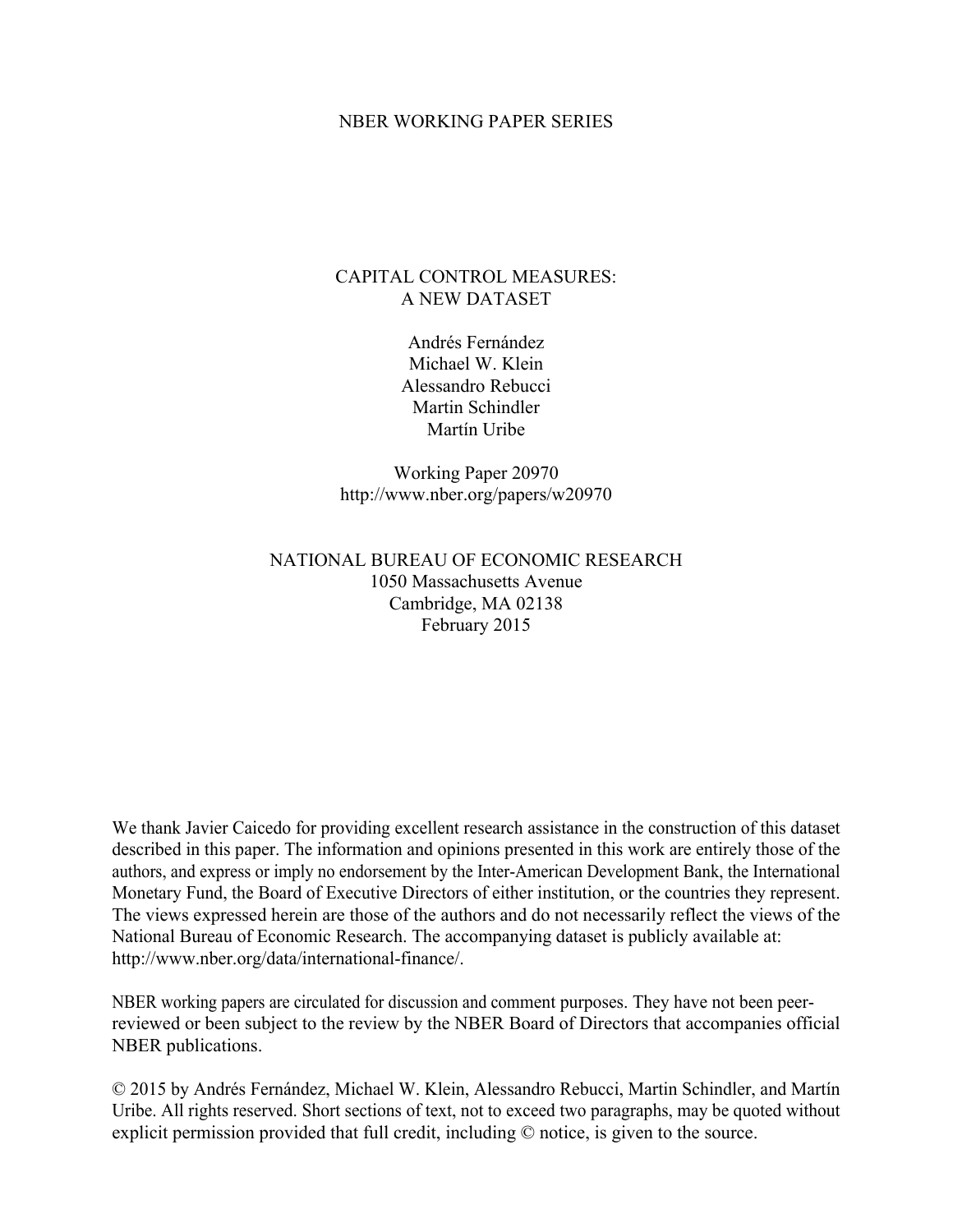#### NBER WORKING PAPER SERIES

## CAPITAL CONTROL MEASURES: A NEW DATASET

Andrés Fernández Michael W. Klein Alessandro Rebucci Martin Schindler Martín Uribe

Working Paper 20970 http://www.nber.org/papers/w20970

## NATIONAL BUREAU OF ECONOMIC RESEARCH 1050 Massachusetts Avenue Cambridge, MA 02138 February 2015

We thank Javier Caicedo for providing excellent research assistance in the construction of this dataset described in this paper. The information and opinions presented in this work are entirely those of the authors, and express or imply no endorsement by the Inter-American Development Bank, the International Monetary Fund, the Board of Executive Directors of either institution, or the countries they represent. The views expressed herein are those of the authors and do not necessarily reflect the views of the National Bureau of Economic Research. The accompanying dataset is publicly available at: http://www.nber.org/data/international-finance/.

NBER working papers are circulated for discussion and comment purposes. They have not been peerreviewed or been subject to the review by the NBER Board of Directors that accompanies official NBER publications.

© 2015 by Andrés Fernández, Michael W. Klein, Alessandro Rebucci, Martin Schindler, and Martín Uribe. All rights reserved. Short sections of text, not to exceed two paragraphs, may be quoted without explicit permission provided that full credit, including © notice, is given to the source.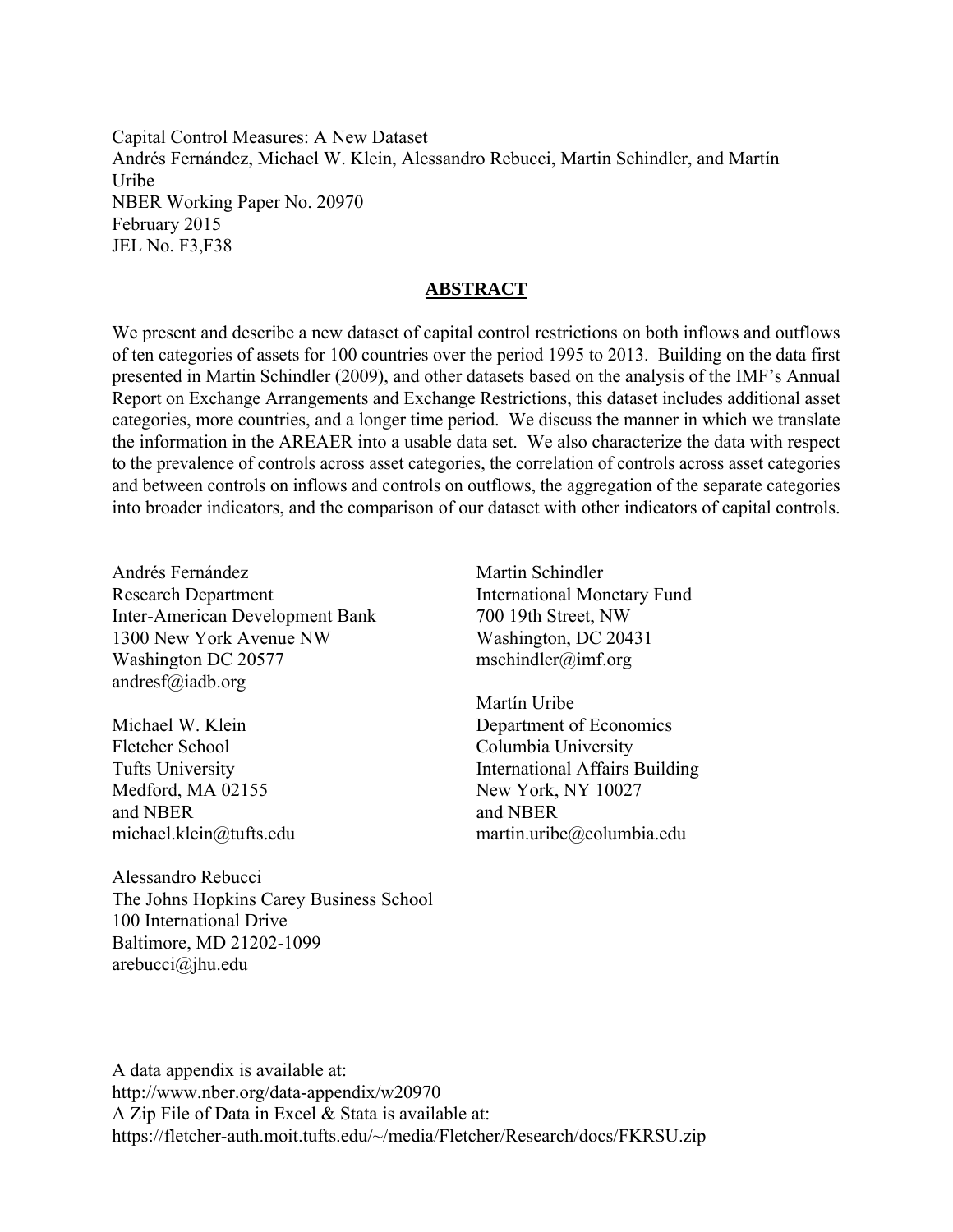Capital Control Measures: A New Dataset Andrés Fernández, Michael W. Klein, Alessandro Rebucci, Martin Schindler, and Martín Uribe NBER Working Paper No. 20970 February 2015 JEL No. F3,F38

## **ABSTRACT**

We present and describe a new dataset of capital control restrictions on both inflows and outflows of ten categories of assets for 100 countries over the period 1995 to 2013. Building on the data first presented in Martin Schindler (2009), and other datasets based on the analysis of the IMF's Annual Report on Exchange Arrangements and Exchange Restrictions, this dataset includes additional asset categories, more countries, and a longer time period. We discuss the manner in which we translate the information in the AREAER into a usable data set. We also characterize the data with respect to the prevalence of controls across asset categories, the correlation of controls across asset categories and between controls on inflows and controls on outflows, the aggregation of the separate categories into broader indicators, and the comparison of our dataset with other indicators of capital controls.

Andrés Fernández Research Department Inter-American Development Bank 1300 New York Avenue NW Washington DC 20577 andresf@iadb.org

Michael W. Klein Fletcher School Tufts University Medford, MA 02155 and NBER michael.klein@tufts.edu

Alessandro Rebucci The Johns Hopkins Carey Business School 100 International Drive Baltimore, MD 21202-1099 arebucci@jhu.edu

Martin Schindler International Monetary Fund 700 19th Street, NW Washington, DC 20431 mschindler@imf.org

Martín Uribe Department of Economics Columbia University International Affairs Building New York, NY 10027 and NBER martin.uribe@columbia.edu

A data appendix is available at: http://www.nber.org/data-appendix/w20970 A Zip File of Data in Excel & Stata is available at: https://fletcher-auth.moit.tufts.edu/~/media/Fletcher/Research/docs/FKRSU.zip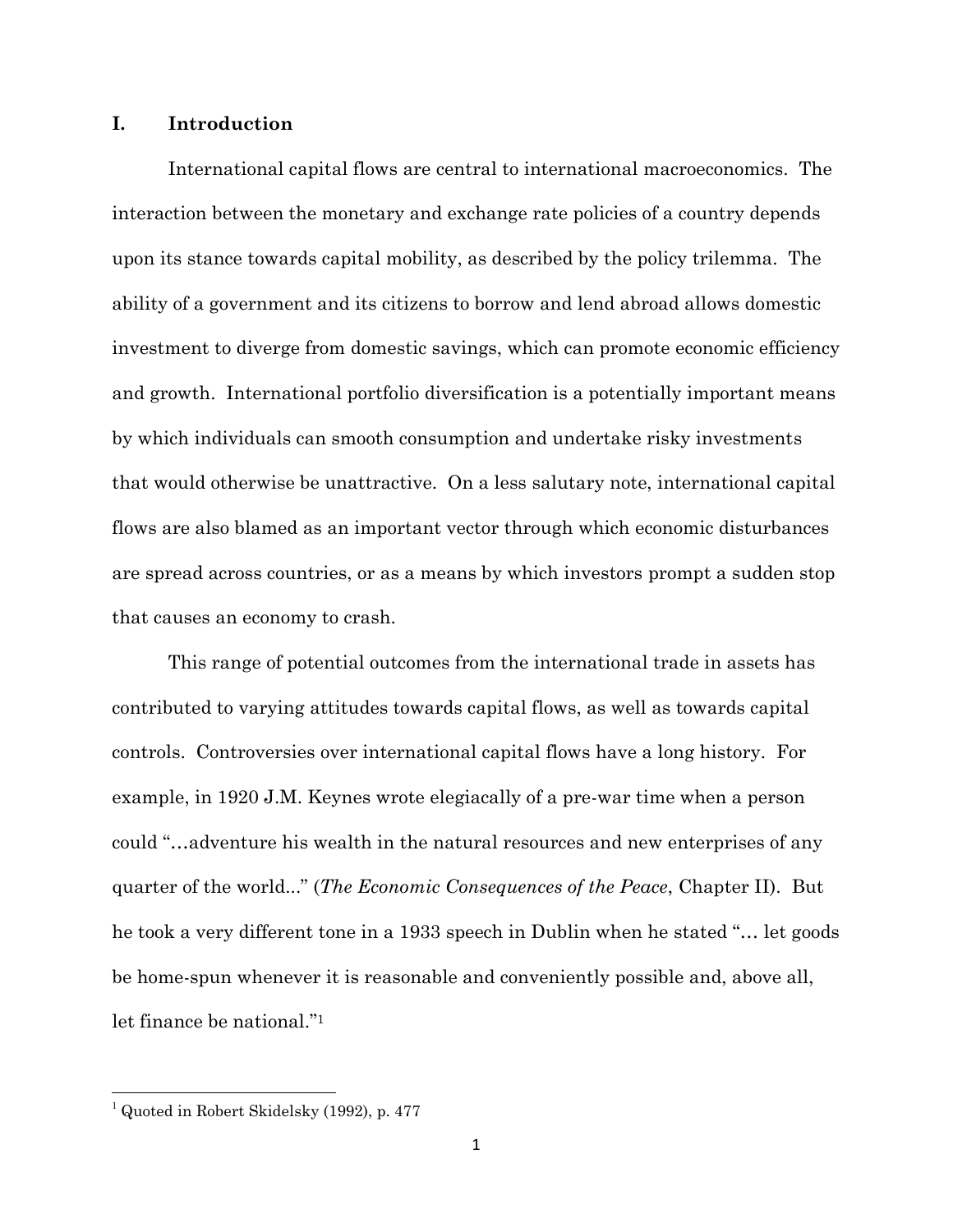## **I. Introduction**

International capital flows are central to international macroeconomics. The interaction between the monetary and exchange rate policies of a country depends upon its stance towards capital mobility, as described by the policy trilemma. The ability of a government and its citizens to borrow and lend abroad allows domestic investment to diverge from domestic savings, which can promote economic efficiency and growth. International portfolio diversification is a potentially important means by which individuals can smooth consumption and undertake risky investments that would otherwise be unattractive. On a less salutary note, international capital flows are also blamed as an important vector through which economic disturbances are spread across countries, or as a means by which investors prompt a sudden stop that causes an economy to crash.

This range of potential outcomes from the international trade in assets has contributed to varying attitudes towards capital flows, as well as towards capital controls. Controversies over international capital flows have a long history. For example, in 1920 J.M. Keynes wrote elegiacally of a pre-war time when a person could "…adventure his wealth in the natural resources and new enterprises of any quarter of the world..." (*The Economic Consequences of the Peace*, Chapter II). But he took a very different tone in a 1933 speech in Dublin when he stated "… let goods be home-spun whenever it is reasonable and conveniently possible and, above all, let finance be national."<sup>1</sup>

l

 $<sup>1</sup>$  Quoted in Robert Skidelsky (1992), p. 477</sup>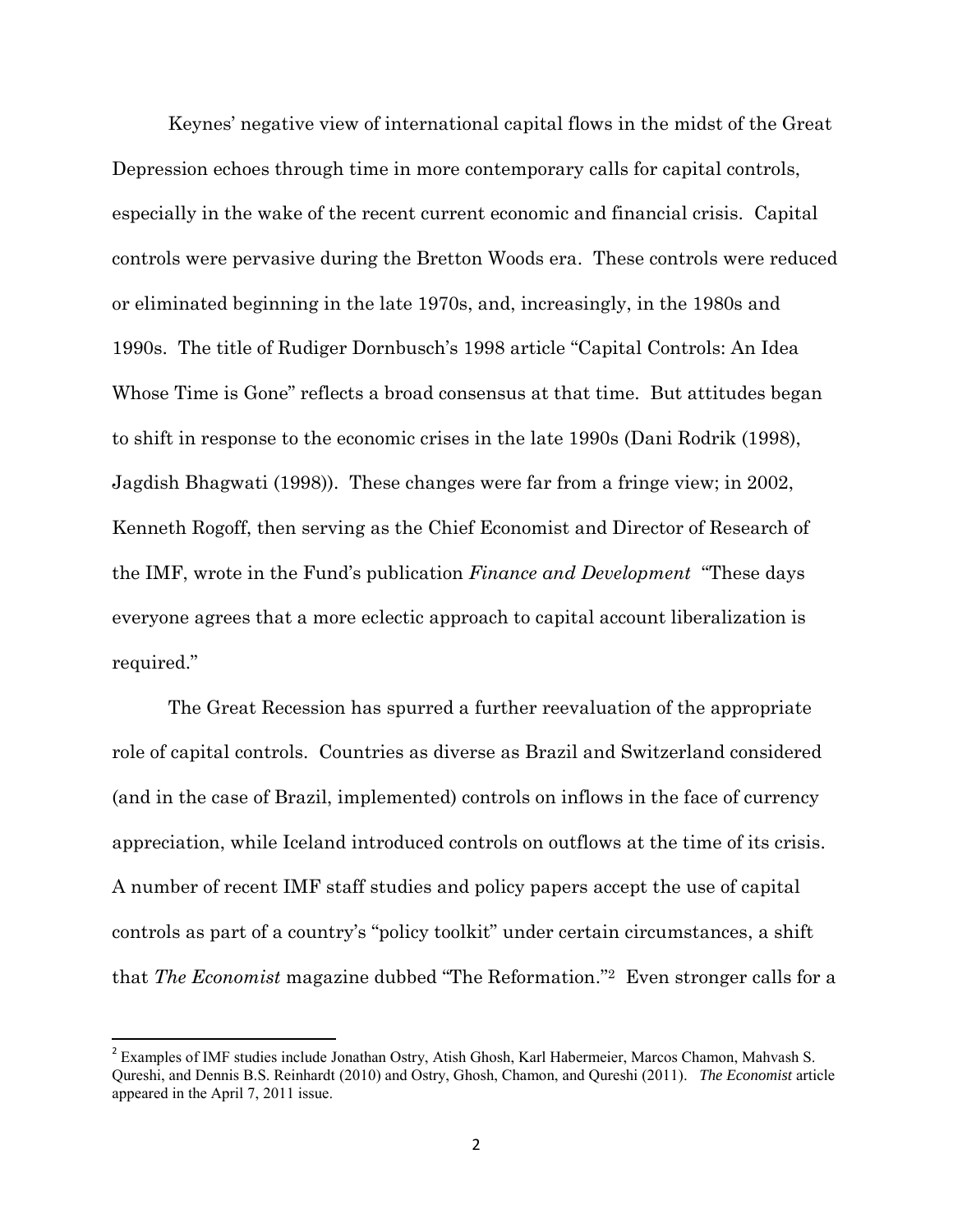Keynes' negative view of international capital flows in the midst of the Great Depression echoes through time in more contemporary calls for capital controls, especially in the wake of the recent current economic and financial crisis. Capital controls were pervasive during the Bretton Woods era. These controls were reduced or eliminated beginning in the late 1970s, and, increasingly, in the 1980s and 1990s. The title of Rudiger Dornbusch's 1998 article "Capital Controls: An Idea Whose Time is Gone" reflects a broad consensus at that time. But attitudes began to shift in response to the economic crises in the late 1990s (Dani Rodrik (1998), Jagdish Bhagwati (1998)). These changes were far from a fringe view; in 2002, Kenneth Rogoff, then serving as the Chief Economist and Director of Research of the IMF, wrote in the Fund's publication *Finance and Development* "These days everyone agrees that a more eclectic approach to capital account liberalization is required."

The Great Recession has spurred a further reevaluation of the appropriate role of capital controls. Countries as diverse as Brazil and Switzerland considered (and in the case of Brazil, implemented) controls on inflows in the face of currency appreciation, while Iceland introduced controls on outflows at the time of its crisis. A number of recent IMF staff studies and policy papers accept the use of capital controls as part of a country's "policy toolkit" under certain circumstances, a shift that *The Economist* magazine dubbed "The Reformation." <sup>2</sup> Even stronger calls for a

<sup>&</sup>lt;sup>2</sup> Examples of IMF studies include Jonathan Ostry, Atish Ghosh, Karl Habermeier, Marcos Chamon, Mahvash S. Qureshi, and Dennis B.S. Reinhardt (2010) and Ostry, Ghosh, Chamon, and Qureshi (2011). *The Economist* article appeared in the April 7, 2011 issue.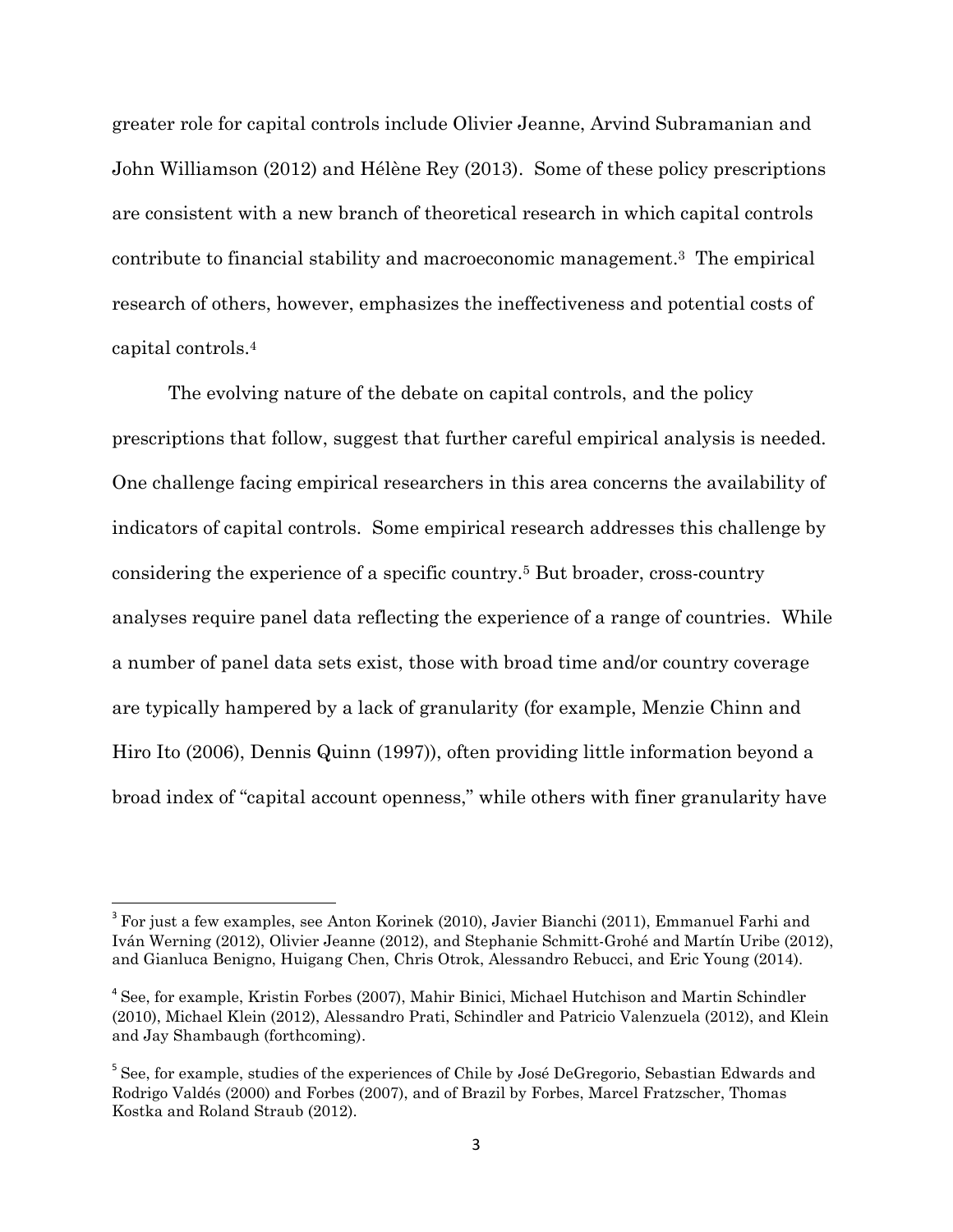greater role for capital controls include Olivier Jeanne, Arvind Subramanian and John Williamson (2012) and Hélène Rey (2013). Some of these policy prescriptions are consistent with a new branch of theoretical research in which capital controls contribute to financial stability and macroeconomic management.3 The empirical research of others, however, emphasizes the ineffectiveness and potential costs of capital controls.<sup>4</sup>

The evolving nature of the debate on capital controls, and the policy prescriptions that follow, suggest that further careful empirical analysis is needed. One challenge facing empirical researchers in this area concerns the availability of indicators of capital controls. Some empirical research addresses this challenge by considering the experience of a specific country.5 But broader, cross-country analyses require panel data reflecting the experience of a range of countries. While a number of panel data sets exist, those with broad time and/or country coverage are typically hampered by a lack of granularity (for example, Menzie Chinn and Hiro Ito (2006), Dennis Quinn (1997)), often providing little information beyond a broad index of "capital account openness," while others with finer granularity have

<sup>&</sup>lt;sup>3</sup> For just a few examples, see Anton Korinek (2010), Javier Bianchi (2011), Emmanuel Farhi and Iván Werning (2012), Olivier Jeanne (2012), and Stephanie Schmitt-Grohé and Martín Uribe (2012), and Gianluca Benigno, Huigang Chen, Chris Otrok, Alessandro Rebucci, and Eric Young (2014).

<sup>&</sup>lt;sup>4</sup> See, for example, Kristin Forbes (2007), Mahir Binici, Michael Hutchison and Martin Schindler (2010), Michael Klein (2012), Alessandro Prati, Schindler and Patricio Valenzuela (2012), and Klein and Jay Shambaugh (forthcoming).

<sup>&</sup>lt;sup>5</sup> See, for example, studies of the experiences of Chile by José DeGregorio, Sebastian Edwards and Rodrigo Valdés (2000) and Forbes (2007), and of Brazil by Forbes, Marcel Fratzscher, Thomas Kostka and Roland Straub (2012).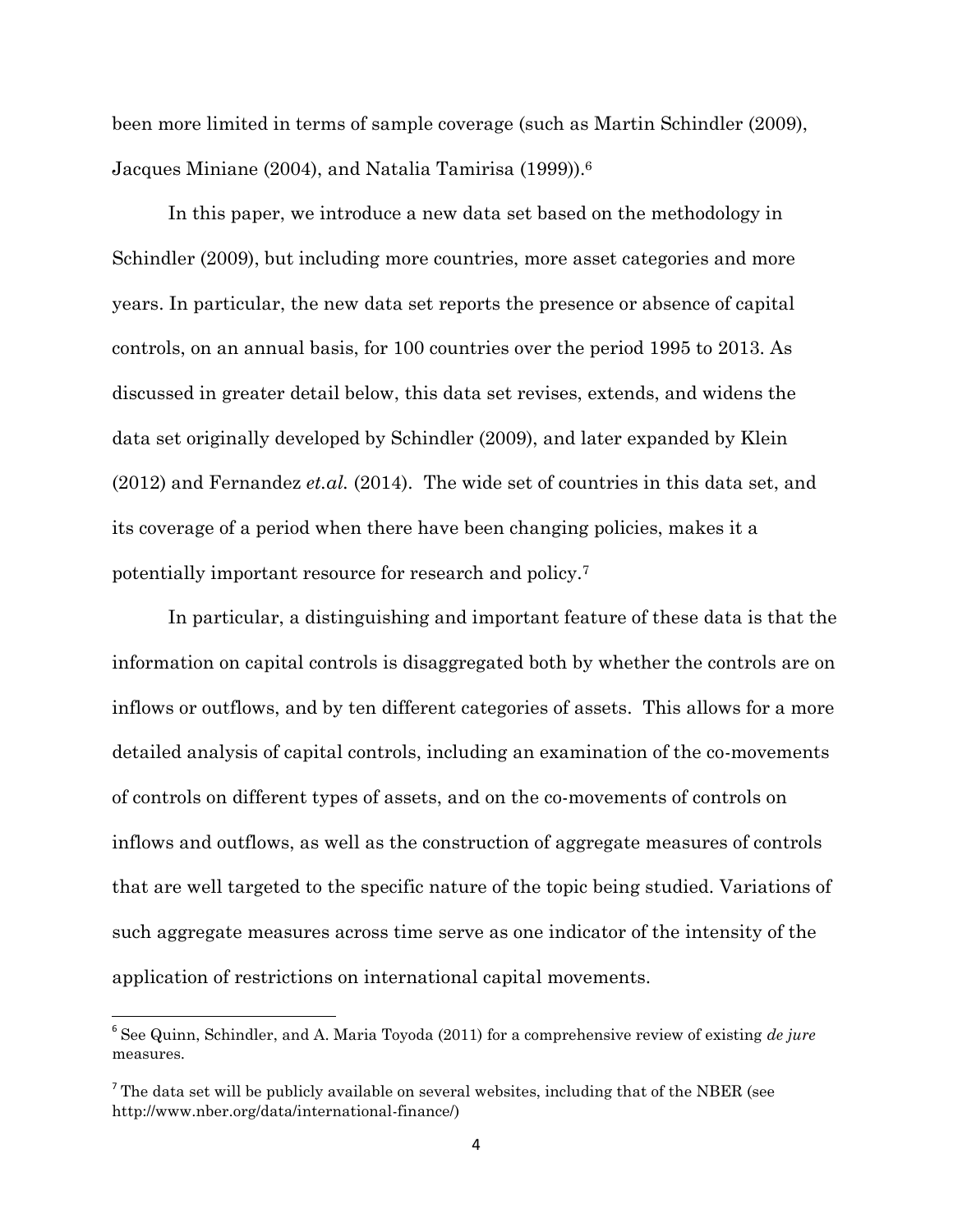been more limited in terms of sample coverage (such as Martin Schindler (2009), Jacques Miniane (2004), and Natalia Tamirisa (1999)).<sup>6</sup>

In this paper, we introduce a new data set based on the methodology in Schindler (2009), but including more countries, more asset categories and more years. In particular, the new data set reports the presence or absence of capital controls, on an annual basis, for 100 countries over the period 1995 to 2013. As discussed in greater detail below, this data set revises, extends, and widens the data set originally developed by Schindler (2009), and later expanded by Klein (2012) and Fernandez *et.al.* (2014). The wide set of countries in this data set, and its coverage of a period when there have been changing policies, makes it a potentially important resource for research and policy.<sup>7</sup>

In particular, a distinguishing and important feature of these data is that the information on capital controls is disaggregated both by whether the controls are on inflows or outflows, and by ten different categories of assets. This allows for a more detailed analysis of capital controls, including an examination of the co-movements of controls on different types of assets, and on the co-movements of controls on inflows and outflows, as well as the construction of aggregate measures of controls that are well targeted to the specific nature of the topic being studied. Variations of such aggregate measures across time serve as one indicator of the intensity of the application of restrictions on international capital movements.

<sup>6</sup> See Quinn, Schindler, and A. Maria Toyoda (2011) for a comprehensive review of existing *de jure*  measures.

The data set will be publicly available on several websites, including that of the NBER (see http://www.nber.org/data/international-finance/)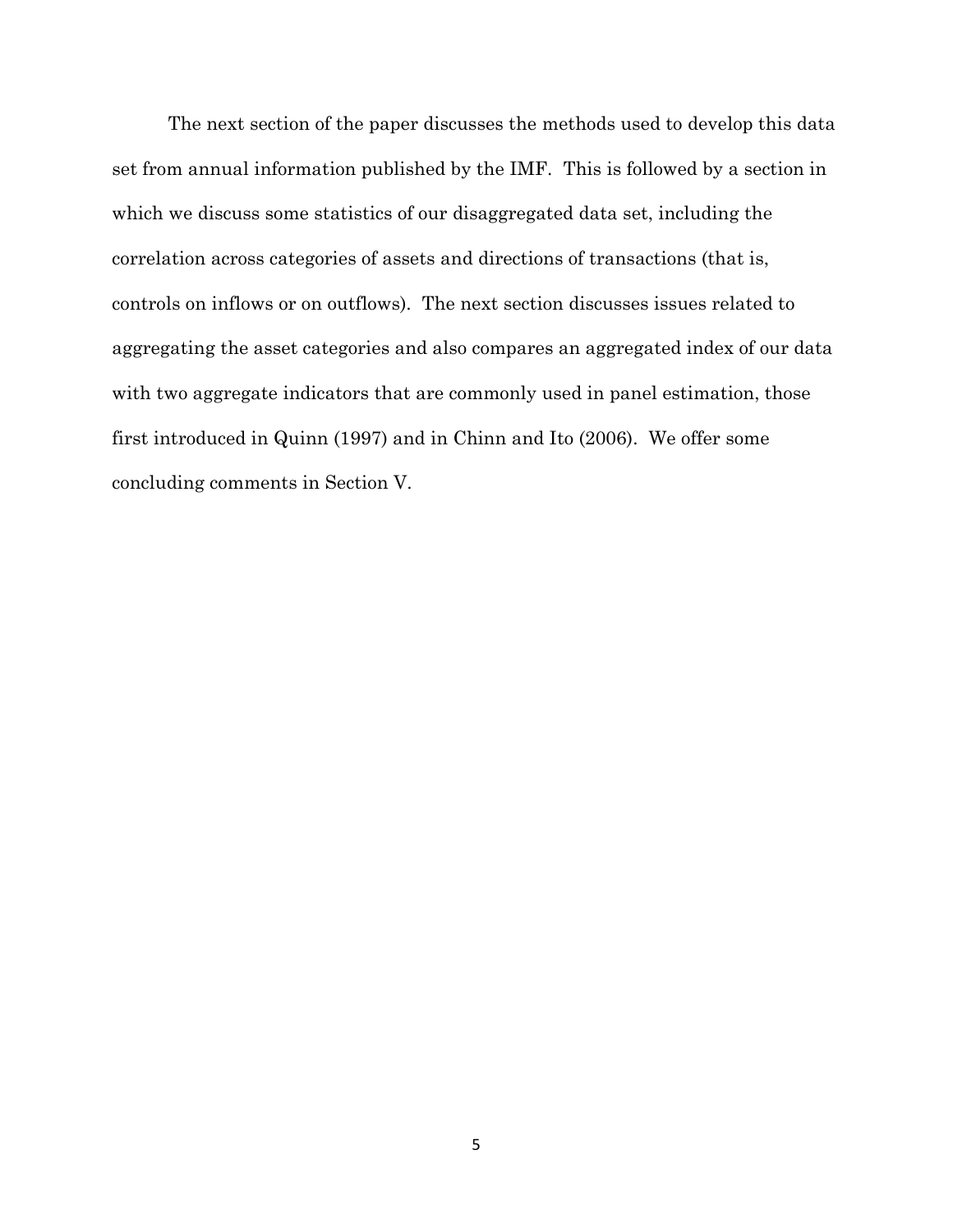The next section of the paper discusses the methods used to develop this data set from annual information published by the IMF. This is followed by a section in which we discuss some statistics of our disaggregated data set, including the correlation across categories of assets and directions of transactions (that is, controls on inflows or on outflows). The next section discusses issues related to aggregating the asset categories and also compares an aggregated index of our data with two aggregate indicators that are commonly used in panel estimation, those first introduced in Quinn (1997) and in Chinn and Ito (2006). We offer some concluding comments in Section V.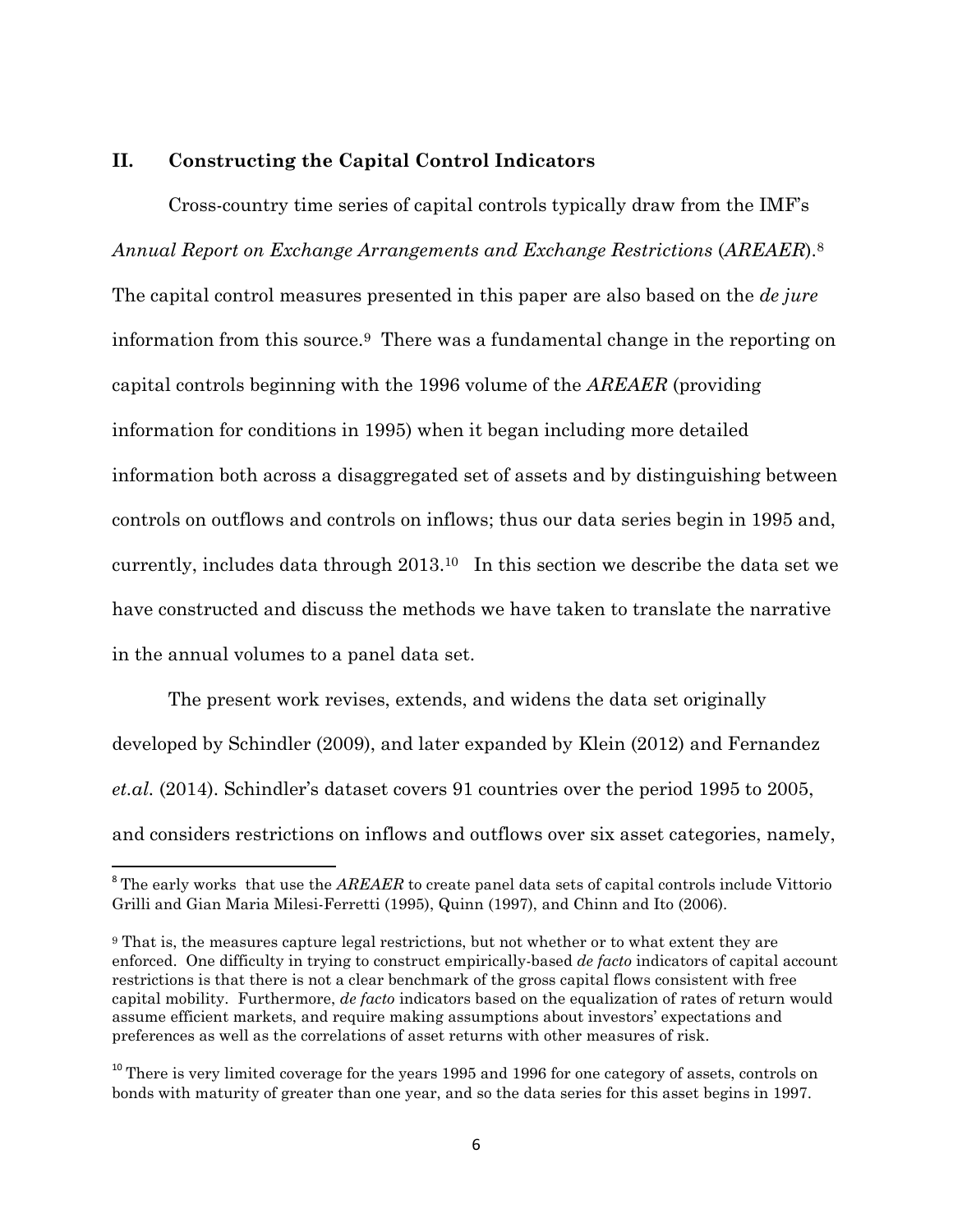#### **II. Constructing the Capital Control Indicators**

Cross-country time series of capital controls typically draw from the IMF's *Annual Report on Exchange Arrangements and Exchange Restrictions* (*AREAER*).<sup>8</sup> The capital control measures presented in this paper are also based on the *de jure* information from this source.9 There was a fundamental change in the reporting on capital controls beginning with the 1996 volume of the *AREAER* (providing information for conditions in 1995) when it began including more detailed information both across a disaggregated set of assets and by distinguishing between controls on outflows and controls on inflows; thus our data series begin in 1995 and, currently, includes data through 2013.10 In this section we describe the data set we have constructed and discuss the methods we have taken to translate the narrative in the annual volumes to a panel data set.

The present work revises, extends, and widens the data set originally developed by Schindler (2009), and later expanded by Klein (2012) and Fernandez *et.al.* (2014). Schindler's dataset covers 91 countries over the period 1995 to 2005, and considers restrictions on inflows and outflows over six asset categories, namely,

 $\overline{a}$ 

<sup>&</sup>lt;sup>8</sup> The early works that use the *AREAER* to create panel data sets of capital controls include Vittorio Grilli and Gian Maria Milesi-Ferretti (1995), Quinn (1997), and Chinn and Ito (2006).

<sup>9</sup> That is, the measures capture legal restrictions, but not whether or to what extent they are enforced. One difficulty in trying to construct empirically-based *de facto* indicators of capital account restrictions is that there is not a clear benchmark of the gross capital flows consistent with free capital mobility. Furthermore, *de facto* indicators based on the equalization of rates of return would assume efficient markets, and require making assumptions about investors' expectations and preferences as well as the correlations of asset returns with other measures of risk.

<sup>&</sup>lt;sup>10</sup> There is very limited coverage for the years 1995 and 1996 for one category of assets, controls on bonds with maturity of greater than one year, and so the data series for this asset begins in 1997.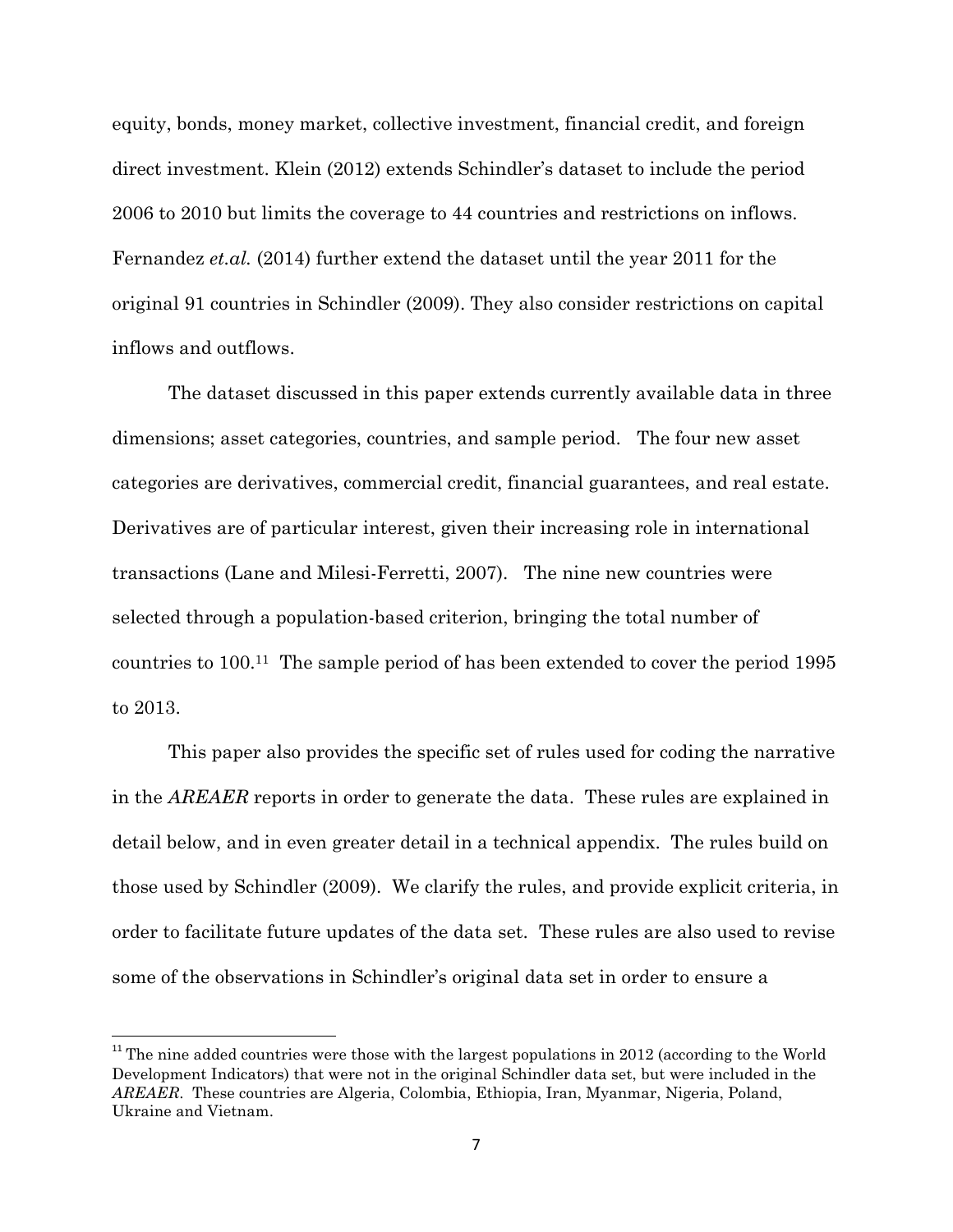equity, bonds, money market, collective investment, financial credit, and foreign direct investment. Klein (2012) extends Schindler's dataset to include the period 2006 to 2010 but limits the coverage to 44 countries and restrictions on inflows. Fernandez *et.al.* (2014) further extend the dataset until the year 2011 for the original 91 countries in Schindler (2009). They also consider restrictions on capital inflows and outflows.

The dataset discussed in this paper extends currently available data in three dimensions; asset categories, countries, and sample period. The four new asset categories are derivatives, commercial credit, financial guarantees, and real estate. Derivatives are of particular interest, given their increasing role in international transactions (Lane and Milesi-Ferretti, 2007). The nine new countries were selected through a population-based criterion, bringing the total number of countries to 100.11 The sample period of has been extended to cover the period 1995 to 2013.

This paper also provides the specific set of rules used for coding the narrative in the *AREAER* reports in order to generate the data. These rules are explained in detail below, and in even greater detail in a technical appendix. The rules build on those used by Schindler (2009). We clarify the rules, and provide explicit criteria, in order to facilitate future updates of the data set. These rules are also used to revise some of the observations in Schindler's original data set in order to ensure a

 $11$ <sup>11</sup> The nine added countries were those with the largest populations in 2012 (according to the World Development Indicators) that were not in the original Schindler data set, but were included in the *AREAER*. These countries are Algeria, Colombia, Ethiopia, Iran, Myanmar, Nigeria, Poland, Ukraine and Vietnam.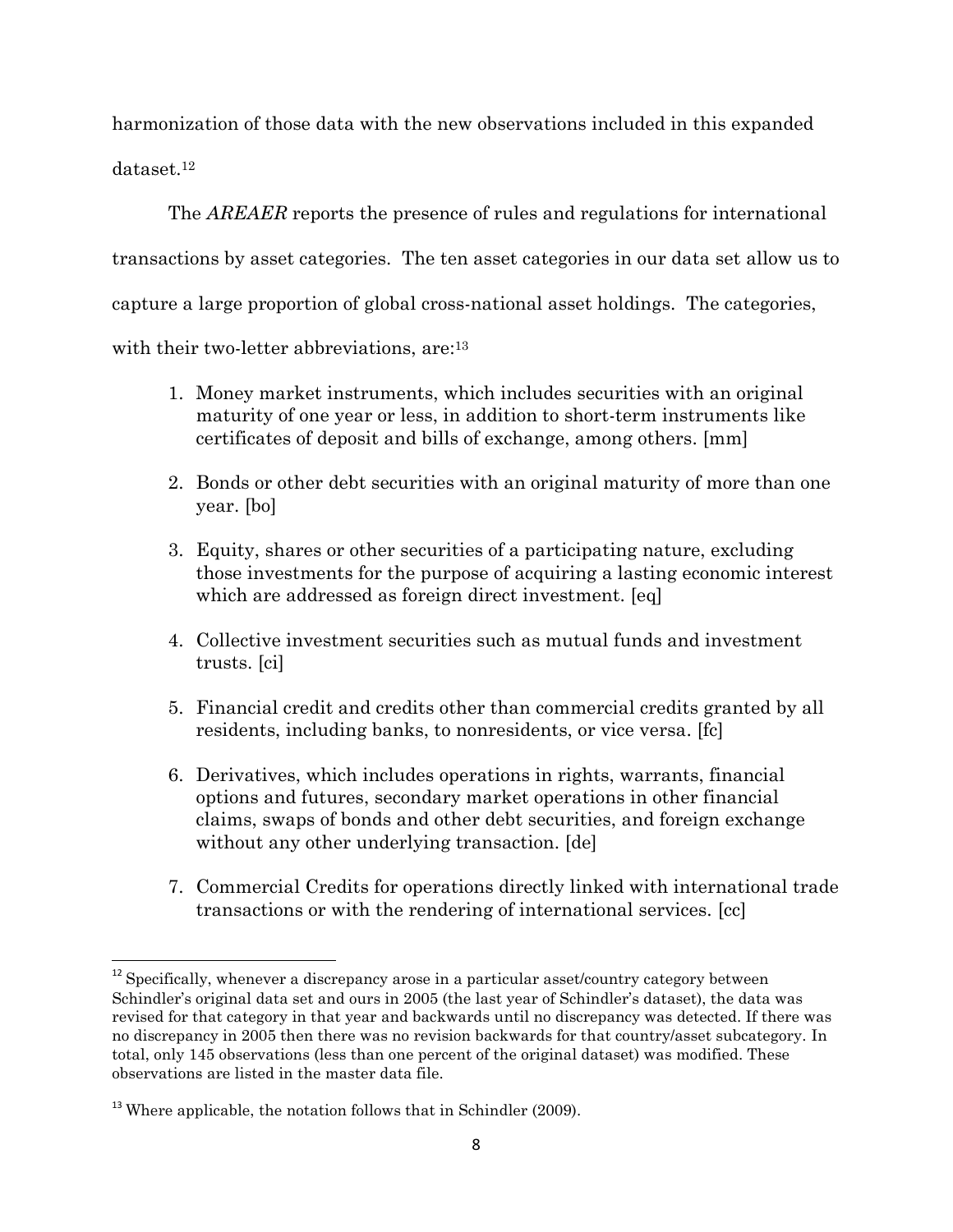harmonization of those data with the new observations included in this expanded dataset.<sup>12</sup>

The *AREAER* reports the presence of rules and regulations for international transactions by asset categories. The ten asset categories in our data set allow us to capture a large proportion of global cross-national asset holdings. The categories, with their two-letter abbreviations, are:<sup>13</sup>

- 1. Money market instruments, which includes securities with an original maturity of one year or less, in addition to short-term instruments like certificates of deposit and bills of exchange, among others. [mm]
- 2. Bonds or other debt securities with an original maturity of more than one year. [bo]
- 3. Equity, shares or other securities of a participating nature, excluding those investments for the purpose of acquiring a lasting economic interest which are addressed as foreign direct investment. [eq]
- 4. Collective investment securities such as mutual funds and investment trusts. [ci]
- 5. Financial credit and credits other than commercial credits granted by all residents, including banks, to nonresidents, or vice versa. [fc]
- 6. Derivatives, which includes operations in rights, warrants, financial options and futures, secondary market operations in other financial claims, swaps of bonds and other debt securities, and foreign exchange without any other underlying transaction. [de]
- 7. Commercial Credits for operations directly linked with international trade transactions or with the rendering of international services. [cc]

 $\overline{a}$ 

 $12$  Specifically, whenever a discrepancy arose in a particular asset/country category between Schindler's original data set and ours in 2005 (the last year of Schindler's dataset), the data was revised for that category in that year and backwards until no discrepancy was detected. If there was no discrepancy in 2005 then there was no revision backwards for that country/asset subcategory. In total, only 145 observations (less than one percent of the original dataset) was modified. These observations are listed in the master data file.

 $13$  Where applicable, the notation follows that in Schindler (2009).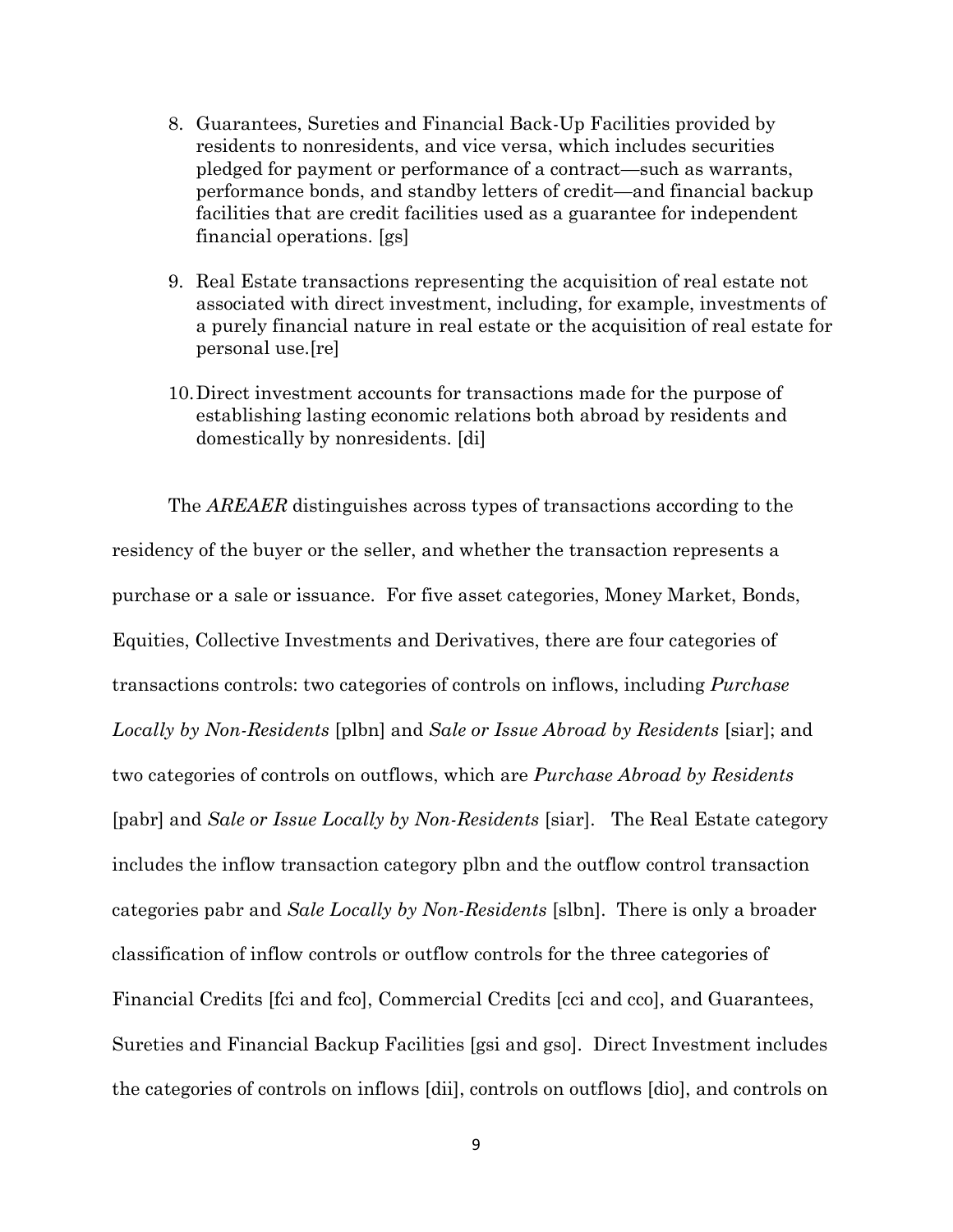- 8. Guarantees, Sureties and Financial Back-Up Facilities provided by residents to nonresidents, and vice versa, which includes securities pledged for payment or performance of a contract—such as warrants, performance bonds, and standby letters of credit—and financial backup facilities that are credit facilities used as a guarantee for independent financial operations. [gs]
- 9. Real Estate transactions representing the acquisition of real estate not associated with direct investment, including, for example, investments of a purely financial nature in real estate or the acquisition of real estate for personal use.[re]
- 10.Direct investment accounts for transactions made for the purpose of establishing lasting economic relations both abroad by residents and domestically by nonresidents. [di]

The *AREAER* distinguishes across types of transactions according to the residency of the buyer or the seller, and whether the transaction represents a purchase or a sale or issuance. For five asset categories, Money Market, Bonds, Equities, Collective Investments and Derivatives, there are four categories of transactions controls: two categories of controls on inflows, including *Purchase Locally by Non-Residents* [plbn] and *Sale or Issue Abroad by Residents* [siar]; and two categories of controls on outflows, which are *Purchase Abroad by Residents* [pabr] and *Sale or Issue Locally by Non-Residents* [siar]. The Real Estate category includes the inflow transaction category plbn and the outflow control transaction categories pabr and *Sale Locally by Non-Residents* [slbn]. There is only a broader classification of inflow controls or outflow controls for the three categories of Financial Credits [fci and fco], Commercial Credits [cci and cco], and Guarantees, Sureties and Financial Backup Facilities [gsi and gso]. Direct Investment includes the categories of controls on inflows [dii], controls on outflows [dio], and controls on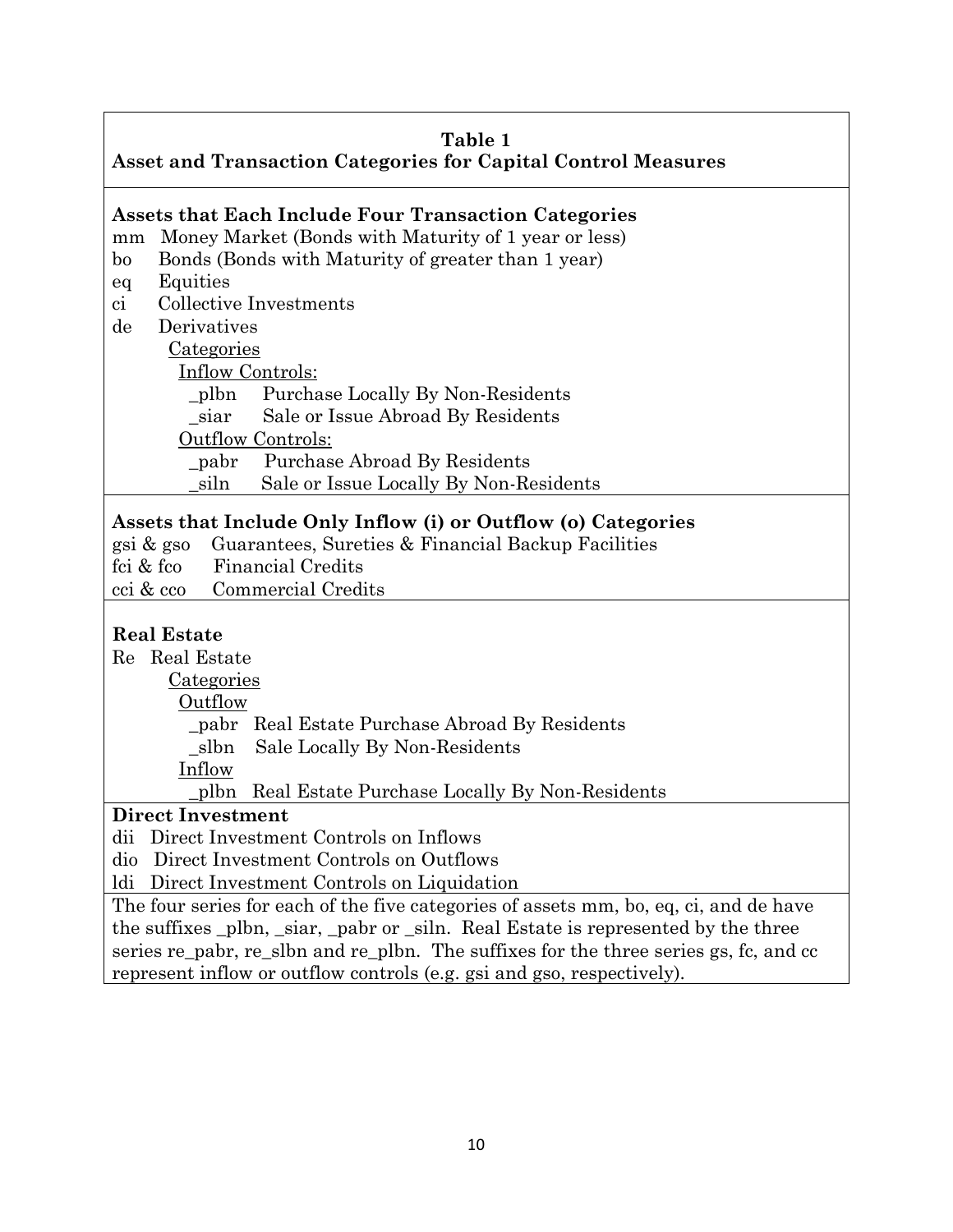|                                                                      | Table 1 |  |
|----------------------------------------------------------------------|---------|--|
| <b>Asset and Transaction Categories for Capital Control Measures</b> |         |  |

# **Assets that Each Include Four Transaction Categories**

mm Money Market (Bonds with Maturity of 1 year or less)

- bo Bonds (Bonds with Maturity of greater than 1 year)
- eq Equities
- ci Collective Investments
- de Derivatives

Categories

Inflow Controls:

\_plbn Purchase Locally By Non-Residents

\_siar Sale or Issue Abroad By Residents

Outflow Controls:

\_pabr Purchase Abroad By Residents

\_siln Sale or Issue Locally By Non-Residents

## **Assets that Include Only Inflow (i) or Outflow (o) Categories**

gsi & gso Guarantees, Sureties & Financial Backup Facilities

fci & fco Financial Credits

cci & cco Commercial Credits

## **Real Estate**

Re Real Estate

Categories

Outflow

\_pabr Real Estate Purchase Abroad By Residents

\_slbn Sale Locally By Non-Residents

Inflow

\_plbn Real Estate Purchase Locally By Non-Residents

## **Direct Investment**

dii Direct Investment Controls on Inflows

dio Direct Investment Controls on Outflows

ldi Direct Investment Controls on Liquidation

The four series for each of the five categories of assets mm, bo, eq, ci, and de have the suffixes \_plbn, \_siar, \_pabr or \_siln. Real Estate is represented by the three series re\_pabr, re\_slbn and re\_plbn. The suffixes for the three series gs, fc, and cc represent inflow or outflow controls (e.g. gsi and gso, respectively).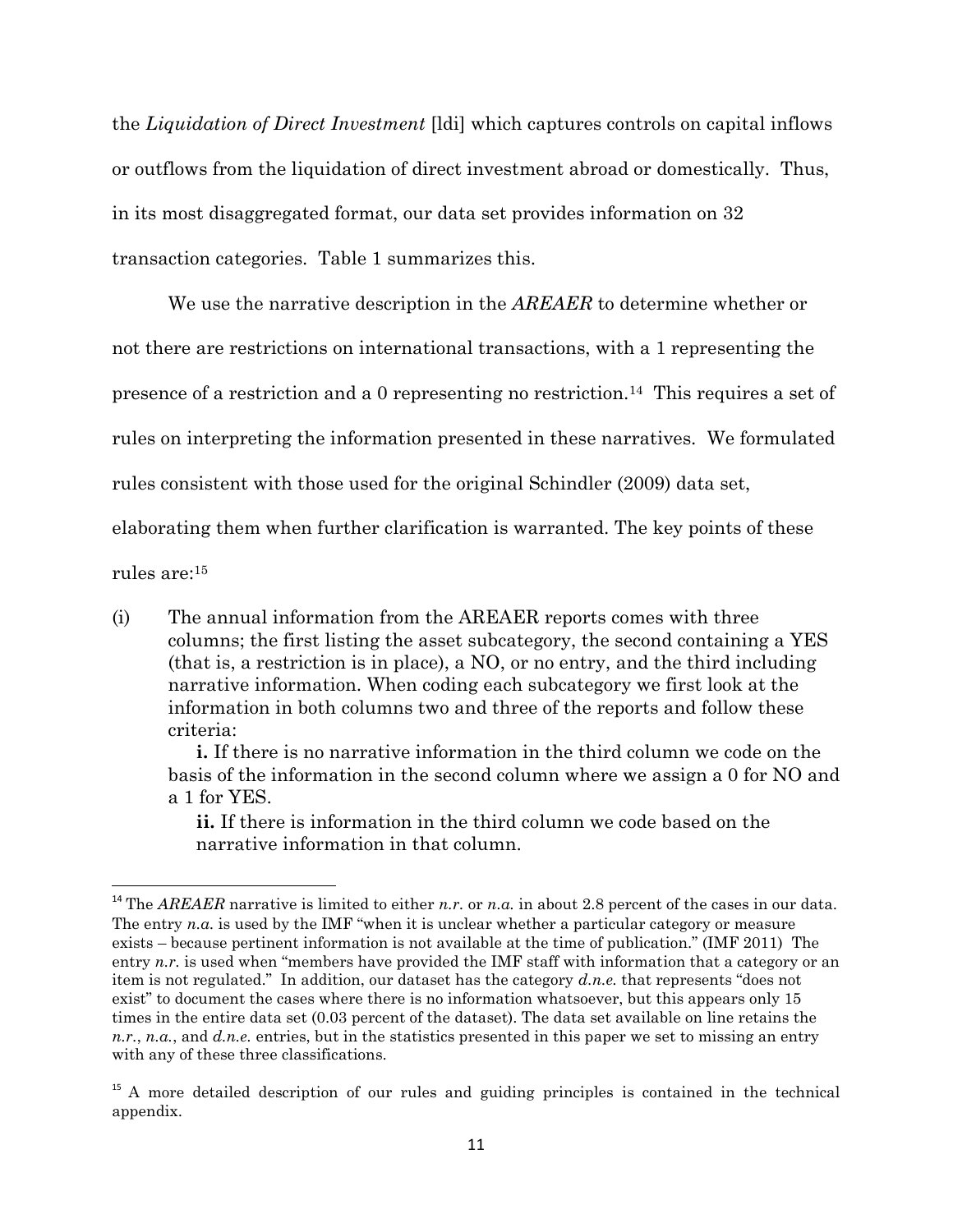the *Liquidation of Direct Investment* [ldi] which captures controls on capital inflows or outflows from the liquidation of direct investment abroad or domestically. Thus, in its most disaggregated format, our data set provides information on 32 transaction categories. Table 1 summarizes this.

We use the narrative description in the *AREAER* to determine whether or not there are restrictions on international transactions, with a 1 representing the presence of a restriction and a 0 representing no restriction.14 This requires a set of rules on interpreting the information presented in these narratives. We formulated rules consistent with those used for the original Schindler (2009) data set, elaborating them when further clarification is warranted. The key points of these rules are:<sup>15</sup>

(i) The annual information from the AREAER reports comes with three columns; the first listing the asset subcategory, the second containing a YES (that is, a restriction is in place), a NO, or no entry, and the third including narrative information. When coding each subcategory we first look at the information in both columns two and three of the reports and follow these criteria:

**i.** If there is no narrative information in the third column we code on the basis of the information in the second column where we assign a 0 for NO and a 1 for YES.

**ii.** If there is information in the third column we code based on the narrative information in that column.

l

<sup>&</sup>lt;sup>14</sup> The *AREAER* narrative is limited to either *n.r.* or *n.a.* in about 2.8 percent of the cases in our data. The entry  $n.a.$  is used by the IMF "when it is unclear whether a particular category or measure exists – because pertinent information is not available at the time of publication." (IMF 2011) The entry *n.r.* is used when "members have provided the IMF staff with information that a category or an item is not regulated." In addition, our dataset has the category *d.n.e.* that represents "does not exist" to document the cases where there is no information whatsoever, but this appears only 15 times in the entire data set (0.03 percent of the dataset). The data set available on line retains the *n.r.*, *n.a.*, and *d.n.e.* entries, but in the statistics presented in this paper we set to missing an entry with any of these three classifications.

<sup>&</sup>lt;sup>15</sup> A more detailed description of our rules and guiding principles is contained in the technical appendix.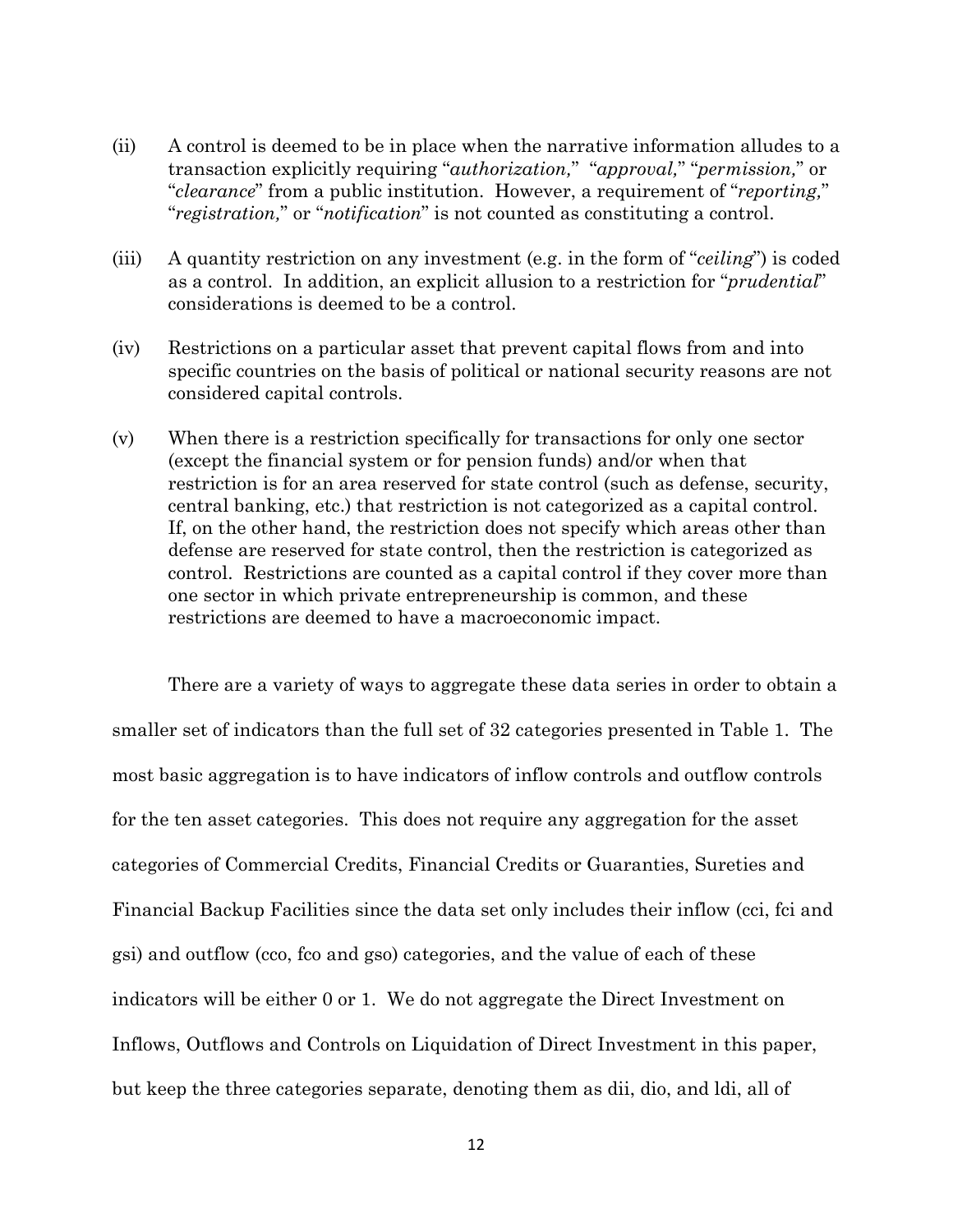- (ii) A control is deemed to be in place when the narrative information alludes to a transaction explicitly requiring "*authorization,*" "*approval,*" "*permission,*" or "*clearance*" from a public institution. However, a requirement of "*reporting,*" "*registration,*" or "*notification*" is not counted as constituting a control.
- (iii) A quantity restriction on any investment (e.g. in the form of "*ceiling*") is coded as a control. In addition, an explicit allusion to a restriction for "*prudential*" considerations is deemed to be a control.
- (iv) Restrictions on a particular asset that prevent capital flows from and into specific countries on the basis of political or national security reasons are not considered capital controls.
- (v) When there is a restriction specifically for transactions for only one sector (except the financial system or for pension funds) and/or when that restriction is for an area reserved for state control (such as defense, security, central banking, etc.) that restriction is not categorized as a capital control. If, on the other hand, the restriction does not specify which areas other than defense are reserved for state control, then the restriction is categorized as control. Restrictions are counted as a capital control if they cover more than one sector in which private entrepreneurship is common, and these restrictions are deemed to have a macroeconomic impact.

There are a variety of ways to aggregate these data series in order to obtain a smaller set of indicators than the full set of 32 categories presented in Table 1. The most basic aggregation is to have indicators of inflow controls and outflow controls for the ten asset categories. This does not require any aggregation for the asset categories of Commercial Credits, Financial Credits or Guaranties, Sureties and Financial Backup Facilities since the data set only includes their inflow (cci, fci and gsi) and outflow (cco, fco and gso) categories, and the value of each of these indicators will be either 0 or 1. We do not aggregate the Direct Investment on Inflows, Outflows and Controls on Liquidation of Direct Investment in this paper, but keep the three categories separate, denoting them as dii, dio, and ldi, all of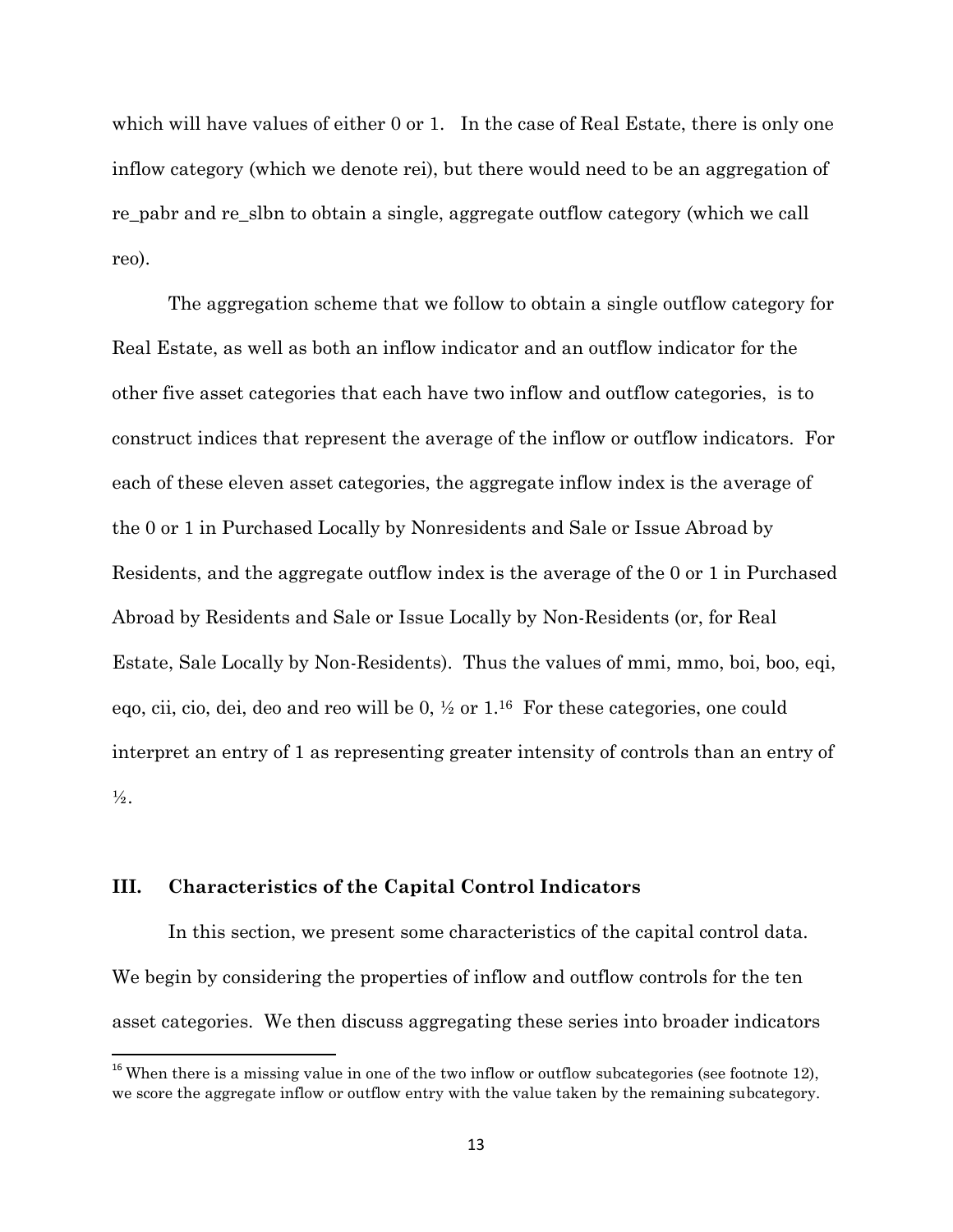which will have values of either 0 or 1. In the case of Real Estate, there is only one inflow category (which we denote rei), but there would need to be an aggregation of re\_pabr and re\_slbn to obtain a single, aggregate outflow category (which we call reo).

The aggregation scheme that we follow to obtain a single outflow category for Real Estate, as well as both an inflow indicator and an outflow indicator for the other five asset categories that each have two inflow and outflow categories, is to construct indices that represent the average of the inflow or outflow indicators. For each of these eleven asset categories, the aggregate inflow index is the average of the 0 or 1 in Purchased Locally by Nonresidents and Sale or Issue Abroad by Residents, and the aggregate outflow index is the average of the 0 or 1 in Purchased Abroad by Residents and Sale or Issue Locally by Non-Residents (or, for Real Estate, Sale Locally by Non-Residents). Thus the values of mmi, mmo, boi, boo, eqi, eqo, cii, cio, dei, deo and reo will be  $0, \frac{1}{2}$  or  $1.16$  For these categories, one could interpret an entry of 1 as representing greater intensity of controls than an entry of  $\frac{1}{2}$ .

## **III. Characteristics of the Capital Control Indicators**

 $\overline{\phantom{a}}$ 

In this section, we present some characteristics of the capital control data. We begin by considering the properties of inflow and outflow controls for the ten asset categories. We then discuss aggregating these series into broader indicators

 $16$  When there is a missing value in one of the two inflow or outflow subcategories (see footnote 12), we score the aggregate inflow or outflow entry with the value taken by the remaining subcategory.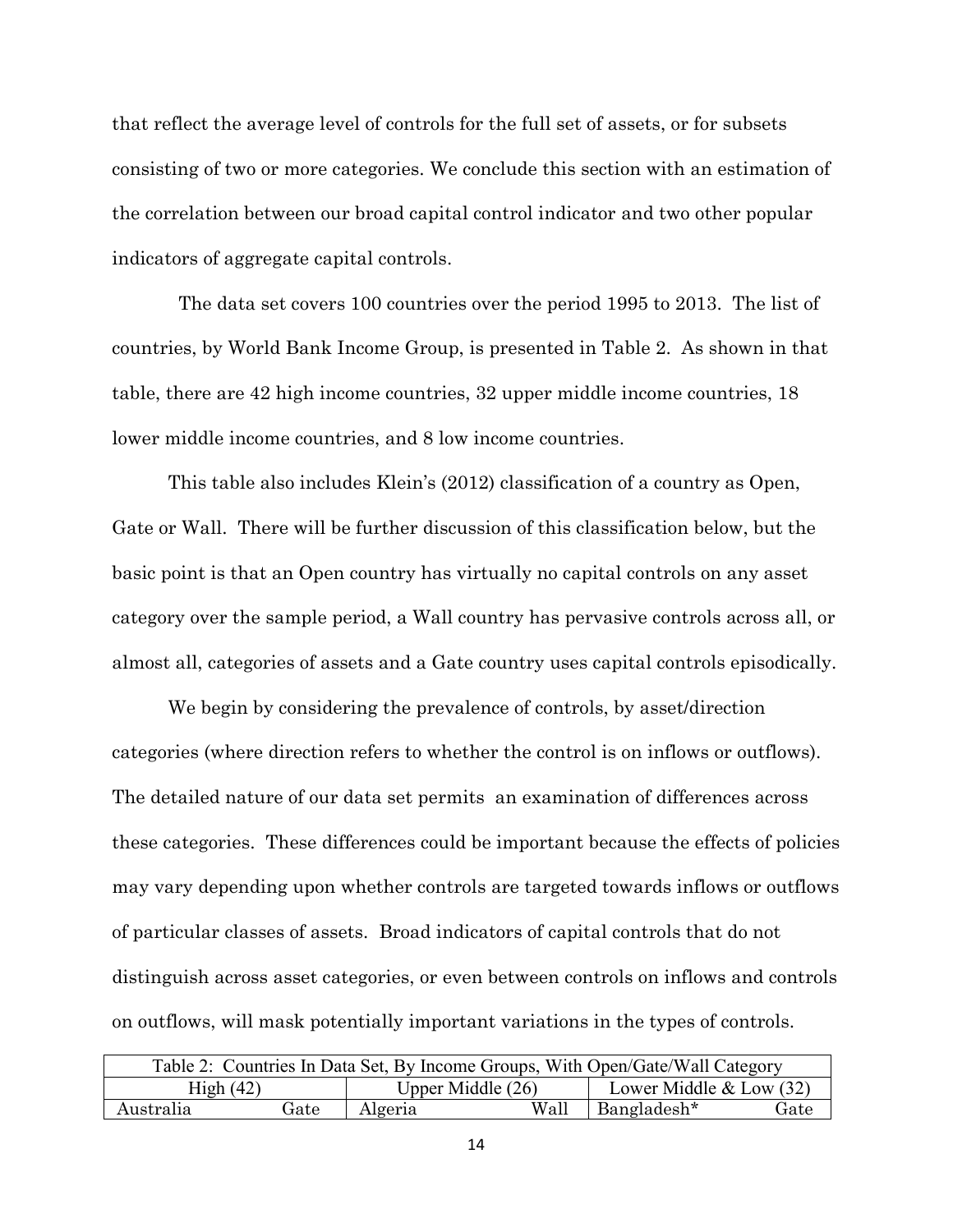that reflect the average level of controls for the full set of assets, or for subsets consisting of two or more categories. We conclude this section with an estimation of the correlation between our broad capital control indicator and two other popular indicators of aggregate capital controls.

 The data set covers 100 countries over the period 1995 to 2013. The list of countries, by World Bank Income Group, is presented in Table 2. As shown in that table, there are 42 high income countries, 32 upper middle income countries, 18 lower middle income countries, and 8 low income countries.

This table also includes Klein's (2012) classification of a country as Open, Gate or Wall. There will be further discussion of this classification below, but the basic point is that an Open country has virtually no capital controls on any asset category over the sample period, a Wall country has pervasive controls across all, or almost all, categories of assets and a Gate country uses capital controls episodically.

We begin by considering the prevalence of controls, by asset/direction categories (where direction refers to whether the control is on inflows or outflows). The detailed nature of our data set permits an examination of differences across these categories. These differences could be important because the effects of policies may vary depending upon whether controls are targeted towards inflows or outflows of particular classes of assets. Broad indicators of capital controls that do not distinguish across asset categories, or even between controls on inflows and controls on outflows, will mask potentially important variations in the types of controls.

| Table 2: Countries In Data Set, By Income Groups, With Open/Gate/Wall Category |      |      |                     |                           |  |  |  |  |  |
|--------------------------------------------------------------------------------|------|------|---------------------|---------------------------|--|--|--|--|--|
| High $(42)$                                                                    |      |      | Upper Middle $(26)$ | Lower Middle $&$ Low (32) |  |  |  |  |  |
| Australia                                                                      | fate | Wall | Bangladesh*         | Gate                      |  |  |  |  |  |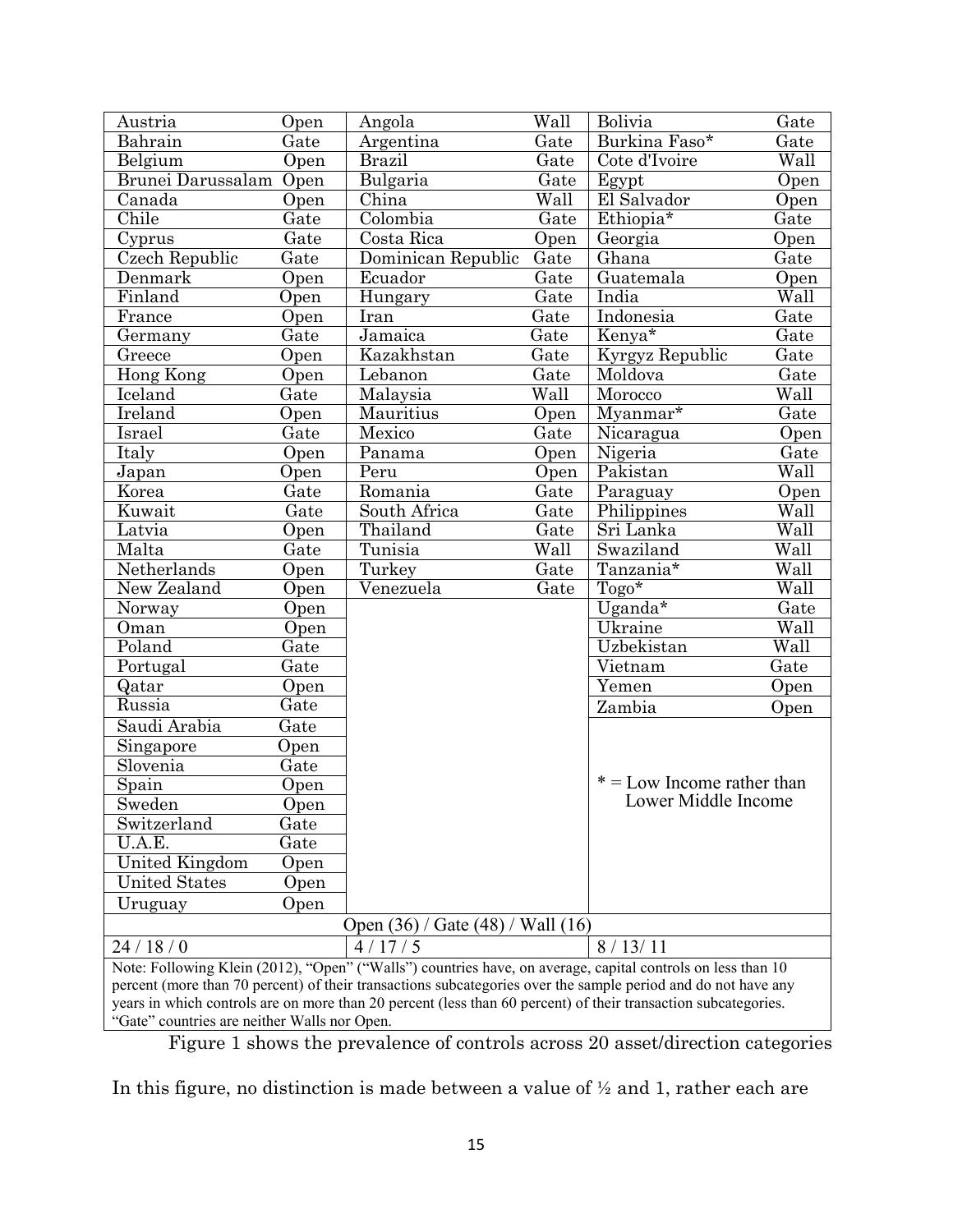| Austria                                      | Open                                                                                                           | Angola                                                                                                        | Wall | Bolivia                      | Gate |  |  |  |  |
|----------------------------------------------|----------------------------------------------------------------------------------------------------------------|---------------------------------------------------------------------------------------------------------------|------|------------------------------|------|--|--|--|--|
| Bahrain                                      | Gate                                                                                                           | Argentina                                                                                                     | Gate | Burkina Faso*                | Gate |  |  |  |  |
| Belgium                                      | Open                                                                                                           | <b>Brazil</b>                                                                                                 | Gate | Cote d'Ivoire                | Wall |  |  |  |  |
| Brunei Darussalam                            | Open                                                                                                           | Bulgaria                                                                                                      | Gate | Egypt                        | Open |  |  |  |  |
| Canada                                       | Open                                                                                                           | $\overline{\text{China}}$                                                                                     | Wall | El Salvador                  | Open |  |  |  |  |
| Chile                                        | Gate                                                                                                           | Colombia                                                                                                      | Gate | Ethiopia*                    | Gate |  |  |  |  |
| Cyprus                                       | Gate                                                                                                           | Costa Rica                                                                                                    | Open | Georgia                      | Open |  |  |  |  |
| Czech Republic                               | Gate                                                                                                           | Dominican Republic                                                                                            | Gate | Ghana                        | Gate |  |  |  |  |
| Denmark                                      | Open                                                                                                           | Ecuador                                                                                                       | Gate | Guatemala                    | Open |  |  |  |  |
| Finland                                      | Open                                                                                                           | Hungary                                                                                                       | Gate | India                        | Wall |  |  |  |  |
| France                                       | Open                                                                                                           | Iran                                                                                                          | Gate | Indonesia                    | Gate |  |  |  |  |
| Germany                                      | Gate                                                                                                           | Jamaica                                                                                                       | Gate | Kenya*                       | Gate |  |  |  |  |
| Greece                                       | Open                                                                                                           | Kazakhstan                                                                                                    | Gate | Kyrgyz Republic              | Gate |  |  |  |  |
| Hong Kong                                    | Open                                                                                                           | Lebanon                                                                                                       | Gate | Moldova                      | Gate |  |  |  |  |
| Iceland                                      | Gate                                                                                                           | Malaysia                                                                                                      | Wall | Morocco                      | Wall |  |  |  |  |
| Ireland                                      | Open                                                                                                           | Mauritius                                                                                                     | Open | Myanmar*                     | Gate |  |  |  |  |
| Israel                                       | Gate                                                                                                           | Mexico                                                                                                        | Gate | Nicaragua                    | Open |  |  |  |  |
| Italy                                        | Open                                                                                                           | Panama                                                                                                        | Open | Nigeria                      | Gate |  |  |  |  |
| Japan                                        | Open                                                                                                           | Peru                                                                                                          | Open | Pakistan                     | Wall |  |  |  |  |
| Korea                                        | Gate                                                                                                           | Romania                                                                                                       | Gate | Paraguay                     | Open |  |  |  |  |
| Kuwait                                       | Gate                                                                                                           | South Africa                                                                                                  | Gate | Philippines                  | Wall |  |  |  |  |
| Latvia                                       | Open                                                                                                           | Thailand                                                                                                      | Gate | Sri Lanka                    | Wall |  |  |  |  |
| Malta                                        | Gate                                                                                                           | Tunisia                                                                                                       | Wall | Swaziland                    | Wall |  |  |  |  |
| Netherlands                                  | Open                                                                                                           | Turkey                                                                                                        | Gate | Tanzania*                    | Wall |  |  |  |  |
| New Zealand                                  | Open                                                                                                           | Venezuela                                                                                                     | Gate | Togo*                        | Wall |  |  |  |  |
| Norway                                       | Open                                                                                                           |                                                                                                               |      | $\overline{U$ ganda*         | Gate |  |  |  |  |
| Oman                                         | Open                                                                                                           |                                                                                                               |      | Ukraine                      | Wall |  |  |  |  |
| Poland                                       | Gate                                                                                                           |                                                                                                               |      | Uzbekistan                   | Wall |  |  |  |  |
| Portugal                                     | Gate                                                                                                           |                                                                                                               |      | Vietnam                      | Gate |  |  |  |  |
| Qatar                                        | Open                                                                                                           |                                                                                                               |      | Yemen                        | Open |  |  |  |  |
| Russia                                       | Gate                                                                                                           |                                                                                                               |      | Zambia                       | Open |  |  |  |  |
| Saudi Arabia                                 | Gate                                                                                                           |                                                                                                               |      |                              |      |  |  |  |  |
| Singapore                                    | Open                                                                                                           |                                                                                                               |      |                              |      |  |  |  |  |
| Slovenia                                     | Gate                                                                                                           |                                                                                                               |      |                              |      |  |  |  |  |
| Spain                                        | Open                                                                                                           |                                                                                                               |      | $* =$ Low Income rather than |      |  |  |  |  |
| Sweden                                       | Open                                                                                                           |                                                                                                               |      | Lower Middle Income          |      |  |  |  |  |
| Switzerland                                  | Gate                                                                                                           |                                                                                                               |      |                              |      |  |  |  |  |
| U.A.E.                                       | Gate                                                                                                           |                                                                                                               |      |                              |      |  |  |  |  |
| <b>United Kingdom</b>                        | Open                                                                                                           |                                                                                                               |      |                              |      |  |  |  |  |
| United States                                | Open                                                                                                           |                                                                                                               |      |                              |      |  |  |  |  |
| Uruguay                                      | Open                                                                                                           |                                                                                                               |      |                              |      |  |  |  |  |
|                                              |                                                                                                                | Open (36) / Gate (48) / Wall (16)                                                                             |      |                              |      |  |  |  |  |
| 24/18/0                                      |                                                                                                                | 4/17/5                                                                                                        |      | 8/13/11                      |      |  |  |  |  |
|                                              |                                                                                                                | Note: Following Klein (2012), "Open" ("Walls") countries have, on average, capital controls on less than 10   |      |                              |      |  |  |  |  |
|                                              |                                                                                                                | percent (more than 70 percent) of their transactions subcategories over the sample period and do not have any |      |                              |      |  |  |  |  |
|                                              | years in which controls are on more than 20 percent (less than 60 percent) of their transaction subcategories. |                                                                                                               |      |                              |      |  |  |  |  |
| "Gate" countries are neither Walls nor Open. |                                                                                                                |                                                                                                               |      |                              |      |  |  |  |  |

Figure 1 shows the prevalence of controls across 20 asset/direction categories

In this figure, no distinction is made between a value of ½ and 1, rather each are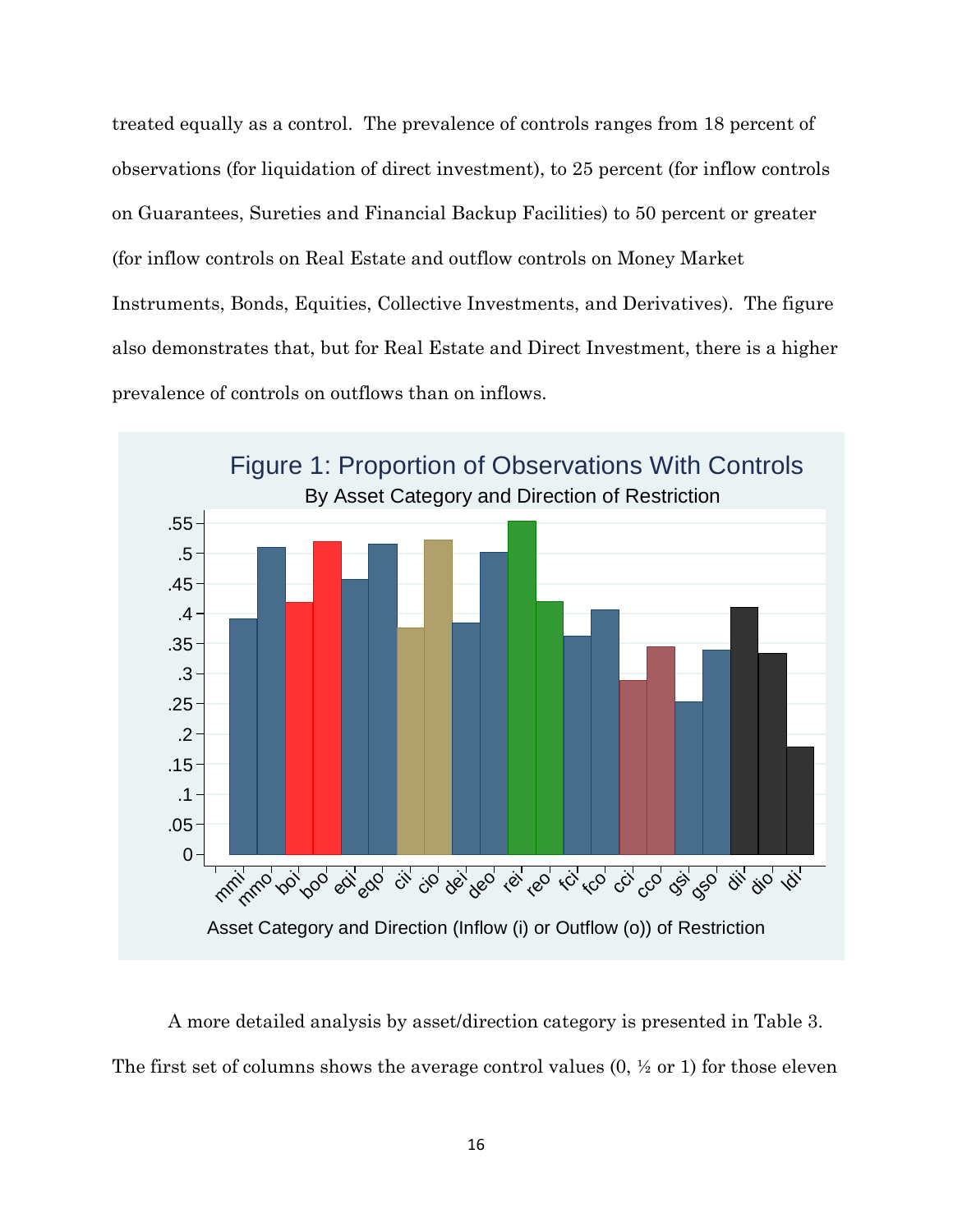treated equally as a control. The prevalence of controls ranges from 18 percent of observations (for liquidation of direct investment), to 25 percent (for inflow controls on Guarantees, Sureties and Financial Backup Facilities) to 50 percent or greater (for inflow controls on Real Estate and outflow controls on Money Market Instruments, Bonds, Equities, Collective Investments, and Derivatives). The figure also demonstrates that, but for Real Estate and Direct Investment, there is a higher prevalence of controls on outflows than on inflows.



A more detailed analysis by asset/direction category is presented in Table 3. The first set of columns shows the average control values  $(0, \frac{1}{2}$  or 1) for those eleven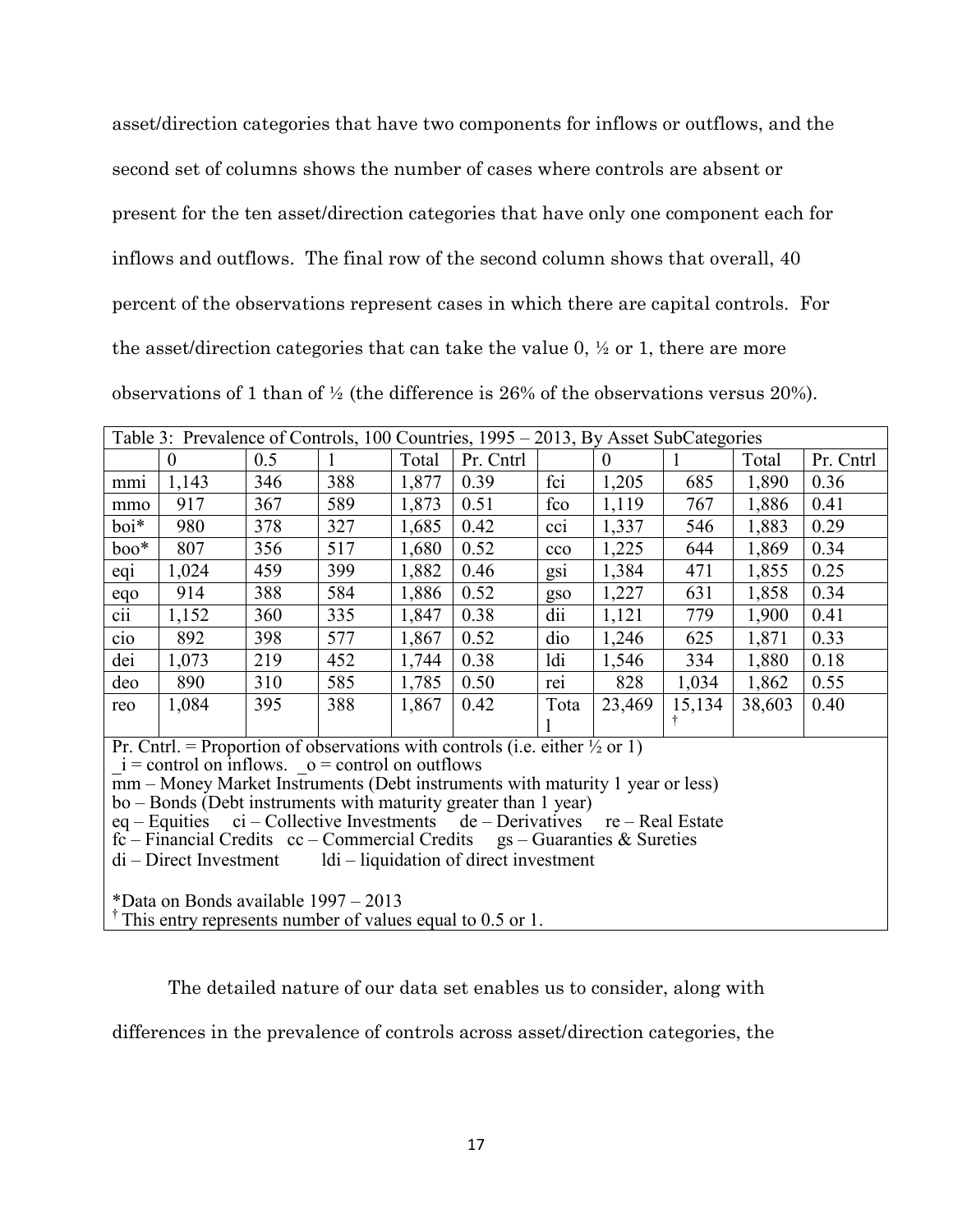asset/direction categories that have two components for inflows or outflows, and the second set of columns shows the number of cases where controls are absent or present for the ten asset/direction categories that have only one component each for inflows and outflows. The final row of the second column shows that overall, 40 percent of the observations represent cases in which there are capital controls. For the asset/direction categories that can take the value 0, ½ or 1, there are more observations of 1 than of ½ (the difference is 26% of the observations versus 20%).

|                                                                                                                                    | Table 3: Prevalence of Controls, 100 Countries, 1995 – 2013, By Asset SubCategories |     |     |       |           |                 |          |        |        |           |  |  |
|------------------------------------------------------------------------------------------------------------------------------------|-------------------------------------------------------------------------------------|-----|-----|-------|-----------|-----------------|----------|--------|--------|-----------|--|--|
|                                                                                                                                    | $\overline{0}$                                                                      | 0.5 |     | Total | Pr. Cntrl |                 | $\theta$ |        | Total  | Pr. Cntrl |  |  |
| mm                                                                                                                                 | 1,143                                                                               | 346 | 388 | 1,877 | 0.39      | fci             | 1,205    | 685    | 1,890  | 0.36      |  |  |
| mmo                                                                                                                                | 917                                                                                 | 367 | 589 | 1,873 | 0.51      | fco             | 1,119    | 767    | 1,886  | 0.41      |  |  |
| boi*                                                                                                                               | 980                                                                                 | 378 | 327 | 1,685 | 0.42      | CC1             | 1,337    | 546    | 1,883  | 0.29      |  |  |
| $boo^*$                                                                                                                            | 807                                                                                 | 356 | 517 | 1,680 | 0.52      | cco             | 1,225    | 644    | 1,869  | 0.34      |  |  |
| eqi                                                                                                                                | 1,024                                                                               | 459 | 399 | 1,882 | 0.46      | g <sub>S1</sub> | 1,384    | 471    | 1,855  | 0.25      |  |  |
| eqo                                                                                                                                | 914                                                                                 | 388 | 584 | 1,886 | 0.52      | gso             | 1,227    | 631    | 1,858  | 0.34      |  |  |
| cii                                                                                                                                | 1,152                                                                               | 360 | 335 | 1,847 | 0.38      | dii             | 1,121    | 779    | 1,900  | 0.41      |  |  |
| cio                                                                                                                                | 892                                                                                 | 398 | 577 | 1,867 | 0.52      | dio             | 1,246    | 625    | 1,871  | 0.33      |  |  |
| dei                                                                                                                                | 1,073                                                                               | 219 | 452 | 1,744 | 0.38      | ldi             | 1,546    | 334    | 1,880  | 0.18      |  |  |
| deo                                                                                                                                | 890                                                                                 | 310 | 585 | 1,785 | 0.50      | rei             | 828      | 1,034  | 1,862  | 0.55      |  |  |
| reo                                                                                                                                | 1,084                                                                               | 395 | 388 | 1,867 | 0.42      | Tota            | 23,469   | 15,134 | 38,603 | 0.40      |  |  |
|                                                                                                                                    |                                                                                     |     |     |       |           |                 |          |        |        |           |  |  |
| Pr. Cntrl. = Proportion of observations with controls (i.e. either $\frac{1}{2}$ or 1)                                             |                                                                                     |     |     |       |           |                 |          |        |        |           |  |  |
| $i =$ control on inflows. $o =$ control on outflows                                                                                |                                                                                     |     |     |       |           |                 |          |        |        |           |  |  |
| mm – Money Market Instruments (Debt instruments with maturity 1 year or less)                                                      |                                                                                     |     |     |       |           |                 |          |        |        |           |  |  |
| bo – Bonds (Debt instruments with maturity greater than 1 year)<br>$ci$ – Collective Investments de – Derivatives re – Real Estate |                                                                                     |     |     |       |           |                 |          |        |        |           |  |  |
|                                                                                                                                    | $eq$ – Equities                                                                     |     |     |       |           |                 |          |        |        |           |  |  |

fc – Financial Credits  $cc$  – Commercial Credits gs – Guaranties  $\&$  Sureties

di – Direct Investment ldi – liquidation of direct investment

\*Data on Bonds available 1997 – 2013

<sup>†</sup>This entry represents number of values equal to 0.5 or 1.

The detailed nature of our data set enables us to consider, along with

differences in the prevalence of controls across asset/direction categories, the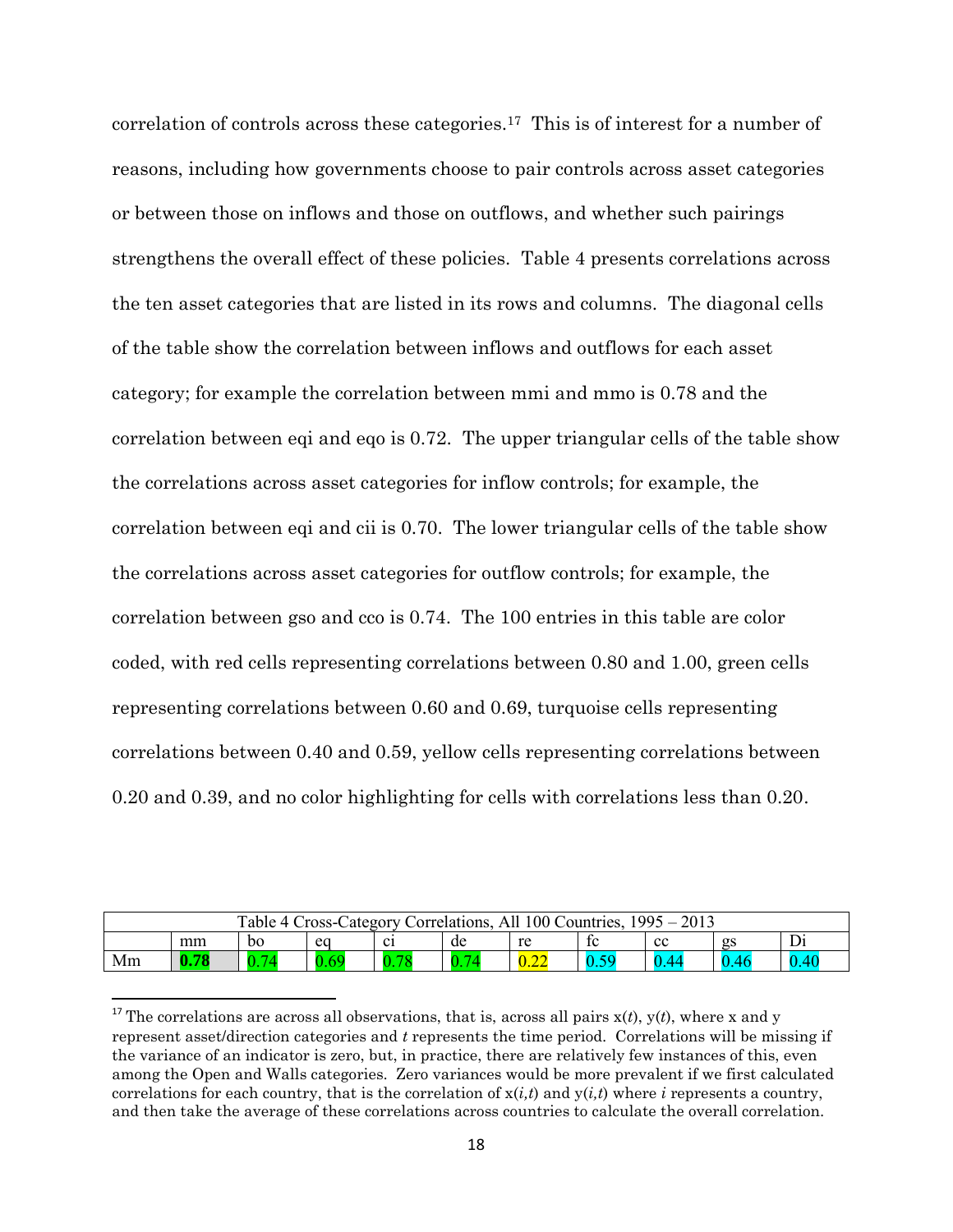correlation of controls across these categories.17 This is of interest for a number of reasons, including how governments choose to pair controls across asset categories or between those on inflows and those on outflows, and whether such pairings strengthens the overall effect of these policies. Table 4 presents correlations across the ten asset categories that are listed in its rows and columns. The diagonal cells of the table show the correlation between inflows and outflows for each asset category; for example the correlation between mmi and mmo is 0.78 and the correlation between eqi and eqo is 0.72. The upper triangular cells of the table show the correlations across asset categories for inflow controls; for example, the correlation between eqi and cii is 0.70. The lower triangular cells of the table show the correlations across asset categories for outflow controls; for example, the correlation between gso and cco is 0.74. The 100 entries in this table are color coded, with red cells representing correlations between 0.80 and 1.00, green cells representing correlations between 0.60 and 0.69, turquoise cells representing correlations between 0.40 and 0.59, yellow cells representing correlations between 0.20 and 0.39, and no color highlighting for cells with correlations less than 0.20.

| Table 4 Cross-Category Correlations, All 100 Countries,<br>2013<br>$1995 -$ |      |                |            |                |    |      |    |    |      |          |  |
|-----------------------------------------------------------------------------|------|----------------|------------|----------------|----|------|----|----|------|----------|--|
|                                                                             | mm   | bo             | ea         | $\mathbf{c}_1$ | de | re   | ŤC | cc | gs   | Di       |  |
| Mm                                                                          | 0.78 | $\overline{0}$ | AC<br>0.05 |                |    | 0.22 | 50 |    | 0.46 | $0.40\,$ |  |

<sup>&</sup>lt;sup>17</sup> The correlations are across all observations, that is, across all pairs  $x(t)$ ,  $y(t)$ , where x and y represent asset/direction categories and *t* represents the time period. Correlations will be missing if the variance of an indicator is zero, but, in practice, there are relatively few instances of this, even among the Open and Walls categories. Zero variances would be more prevalent if we first calculated correlations for each country, that is the correlation of  $x(i,t)$  and  $y(i,t)$  where *i* represents a country, and then take the average of these correlations across countries to calculate the overall correlation.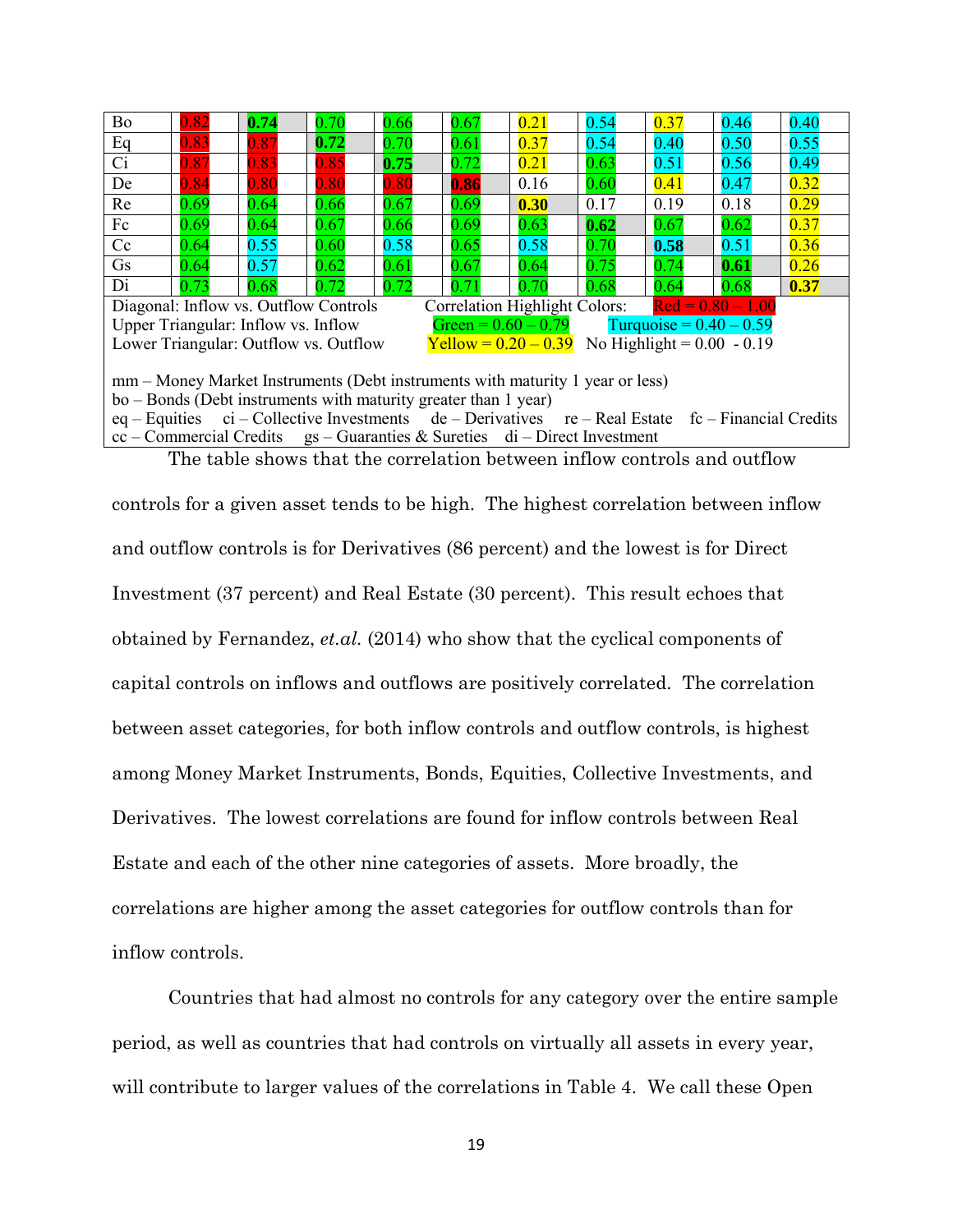| <b>Bo</b>                                                                                          | 0.82                                                                        | 0.74                                  | 0.70 | 0.66 | 0.67                          | 0.21 | 0.54                                              | 0.37                      | 0.46                | 0.40 |  |
|----------------------------------------------------------------------------------------------------|-----------------------------------------------------------------------------|---------------------------------------|------|------|-------------------------------|------|---------------------------------------------------|---------------------------|---------------------|------|--|
| Eq                                                                                                 | 0.83                                                                        | 0.87                                  | 0.72 | 0.70 | 0.61                          | 0.37 | 0.54                                              | 0.40                      | 0.50                | 0.55 |  |
| Ci                                                                                                 | 0.87                                                                        | 0.83                                  | 0.85 | 0.75 | 0.72                          | 0.21 | 0.63                                              | 0.51                      | 0.56                | 0.49 |  |
| De                                                                                                 | 0.84                                                                        | 0.80                                  | 0.80 | 0.80 | 0.86                          | 0.16 | 0.60                                              | 0.41                      | 0.47                | 0.32 |  |
| Re                                                                                                 | 0.69                                                                        | 0.64                                  | 0.66 | 0.67 | 0.69                          | 0.30 | 0.17                                              | 0.19                      | 0.18                | 0.29 |  |
| Fc                                                                                                 | 0.69                                                                        | 0.64                                  | 0.67 | 0.66 | 0.69                          | 0.63 | 0.62                                              | 0.67                      | 0.62                | 0.37 |  |
| Cc                                                                                                 | 0.64                                                                        | 0.55                                  | 0.60 | 0.58 | 0.65                          | 0.58 | 0.70                                              | 0.58                      | 0.51                | 0.36 |  |
| Gs                                                                                                 | 0.64                                                                        | 0.57                                  | 0.62 | 0.61 | 0.67                          | 0.64 | 0.75                                              | 0.74                      | 0.61                | 0.26 |  |
| Di                                                                                                 | 0.73                                                                        | 0.68                                  | 0.72 | 0.72 | 0.71                          | 0.70 | 0.68                                              | 0.64                      | 0.68                | 0.37 |  |
|                                                                                                    |                                                                             | Diagonal: Inflow vs. Outflow Controls |      |      | Correlation Highlight Colors: |      |                                                   |                           | $Red = 0.80 - 1.00$ |      |  |
|                                                                                                    |                                                                             | Upper Triangular: Inflow vs. Inflow   |      |      | Green = $0.60 - 0.79$         |      |                                                   | Turquoise = $0.40 - 0.59$ |                     |      |  |
|                                                                                                    |                                                                             | Lower Triangular: Outflow vs. Outflow |      |      |                               |      | $Yellow = 0.20 - 0.39$ No Highlight = 0.00 - 0.19 |                           |                     |      |  |
|                                                                                                    |                                                                             |                                       |      |      |                               |      |                                                   |                           |                     |      |  |
| mm – Money Market Instruments (Debt instruments with maturity 1 year or less)                      |                                                                             |                                       |      |      |                               |      |                                                   |                           |                     |      |  |
| bo – Bonds (Debt instruments with maturity greater than 1 year)                                    |                                                                             |                                       |      |      |                               |      |                                                   |                           |                     |      |  |
| eq – Equities ci – Collective Investments de – Derivatives re – Real Estate fc – Financial Credits |                                                                             |                                       |      |      |                               |      |                                                   |                           |                     |      |  |
|                                                                                                    | $cc$ – Commercial Credits gs – Guaranties & Sureties di – Direct Investment |                                       |      |      |                               |      |                                                   |                           |                     |      |  |

The table shows that the correlation between inflow controls and outflow

controls for a given asset tends to be high. The highest correlation between inflow and outflow controls is for Derivatives (86 percent) and the lowest is for Direct Investment (37 percent) and Real Estate (30 percent). This result echoes that obtained by Fernandez, *et.al.* (2014) who show that the cyclical components of capital controls on inflows and outflows are positively correlated. The correlation between asset categories, for both inflow controls and outflow controls, is highest among Money Market Instruments, Bonds, Equities, Collective Investments, and Derivatives. The lowest correlations are found for inflow controls between Real Estate and each of the other nine categories of assets. More broadly, the correlations are higher among the asset categories for outflow controls than for inflow controls.

Countries that had almost no controls for any category over the entire sample period, as well as countries that had controls on virtually all assets in every year, will contribute to larger values of the correlations in Table 4. We call these Open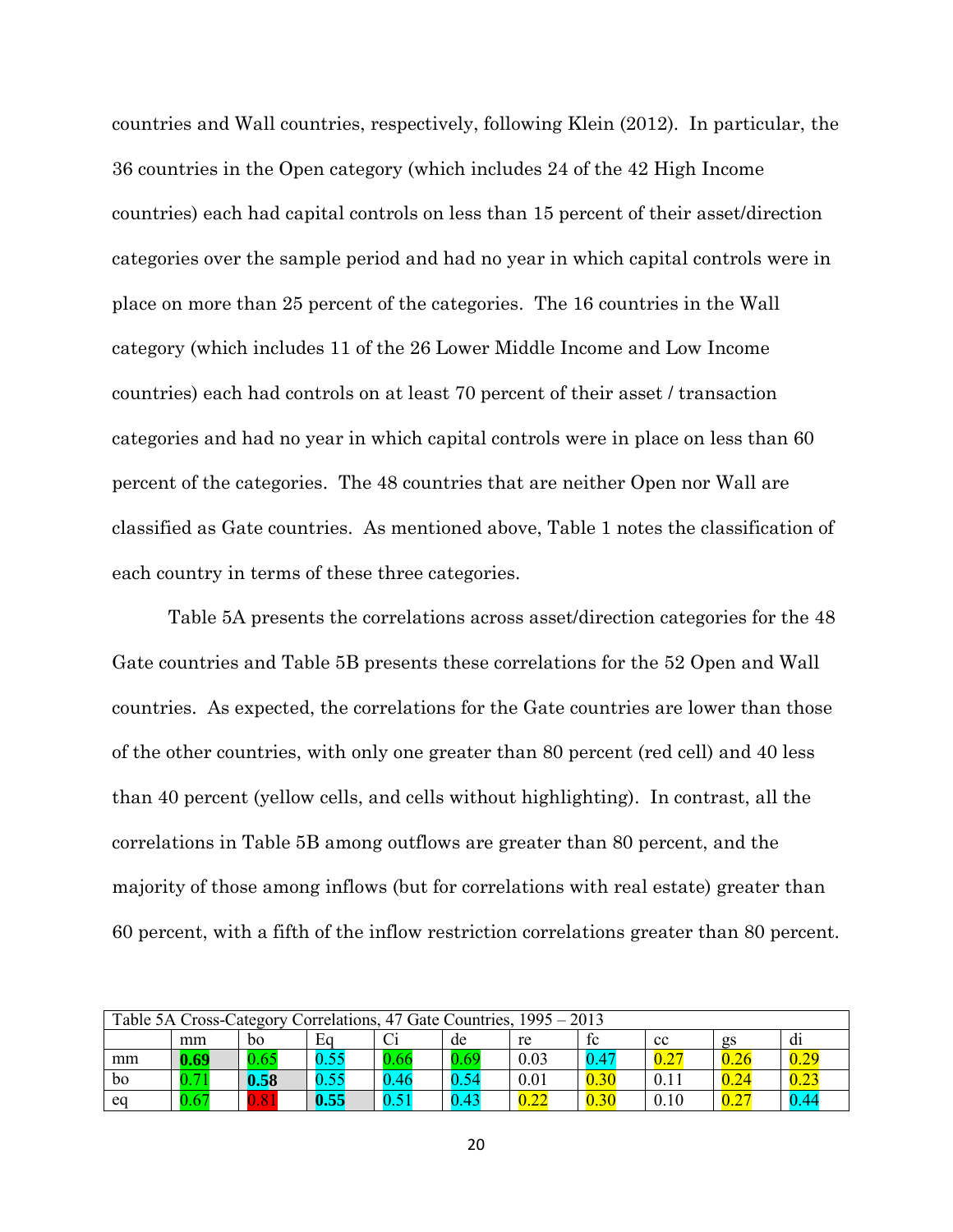countries and Wall countries, respectively, following Klein (2012). In particular, the 36 countries in the Open category (which includes 24 of the 42 High Income countries) each had capital controls on less than 15 percent of their asset/direction categories over the sample period and had no year in which capital controls were in place on more than 25 percent of the categories. The 16 countries in the Wall category (which includes 11 of the 26 Lower Middle Income and Low Income countries) each had controls on at least 70 percent of their asset / transaction categories and had no year in which capital controls were in place on less than 60 percent of the categories. The 48 countries that are neither Open nor Wall are classified as Gate countries. As mentioned above, Table 1 notes the classification of each country in terms of these three categories.

Table 5A presents the correlations across asset/direction categories for the 48 Gate countries and Table 5B presents these correlations for the 52 Open and Wall countries. As expected, the correlations for the Gate countries are lower than those of the other countries, with only one greater than 80 percent (red cell) and 40 less than 40 percent (yellow cells, and cells without highlighting). In contrast, all the correlations in Table 5B among outflows are greater than 80 percent, and the majority of those among inflows (but for correlations with real estate) greater than 60 percent, with a fifth of the inflow restriction correlations greater than 80 percent.

| Table 5A Cross-Category Correlations, 47 Gate Countries, 1995 – 2013 |                |      |             |      |      |      |      |               |      |      |
|----------------------------------------------------------------------|----------------|------|-------------|------|------|------|------|---------------|------|------|
|                                                                      | mm             | bo   | Eq          |      | de   | re   | fc   | cc            | gs   | d1   |
| mm                                                                   | 0.69           | 0.65 | 55<br>v. j. | 0.66 | 0.69 | 0.03 | 0.47 | $0.2^{\circ}$ | 0.26 |      |
| bo                                                                   | $\overline{ }$ | 0.58 | 0.55        | .46  | 0.54 | 0.01 | 0.30 | 0.11          | 0.24 |      |
| eq                                                                   | $0.67\,$       | .81  | 0.55        |      | 0.43 | 0.22 | 0.30 | 0.10          | 0.27 | 0.44 |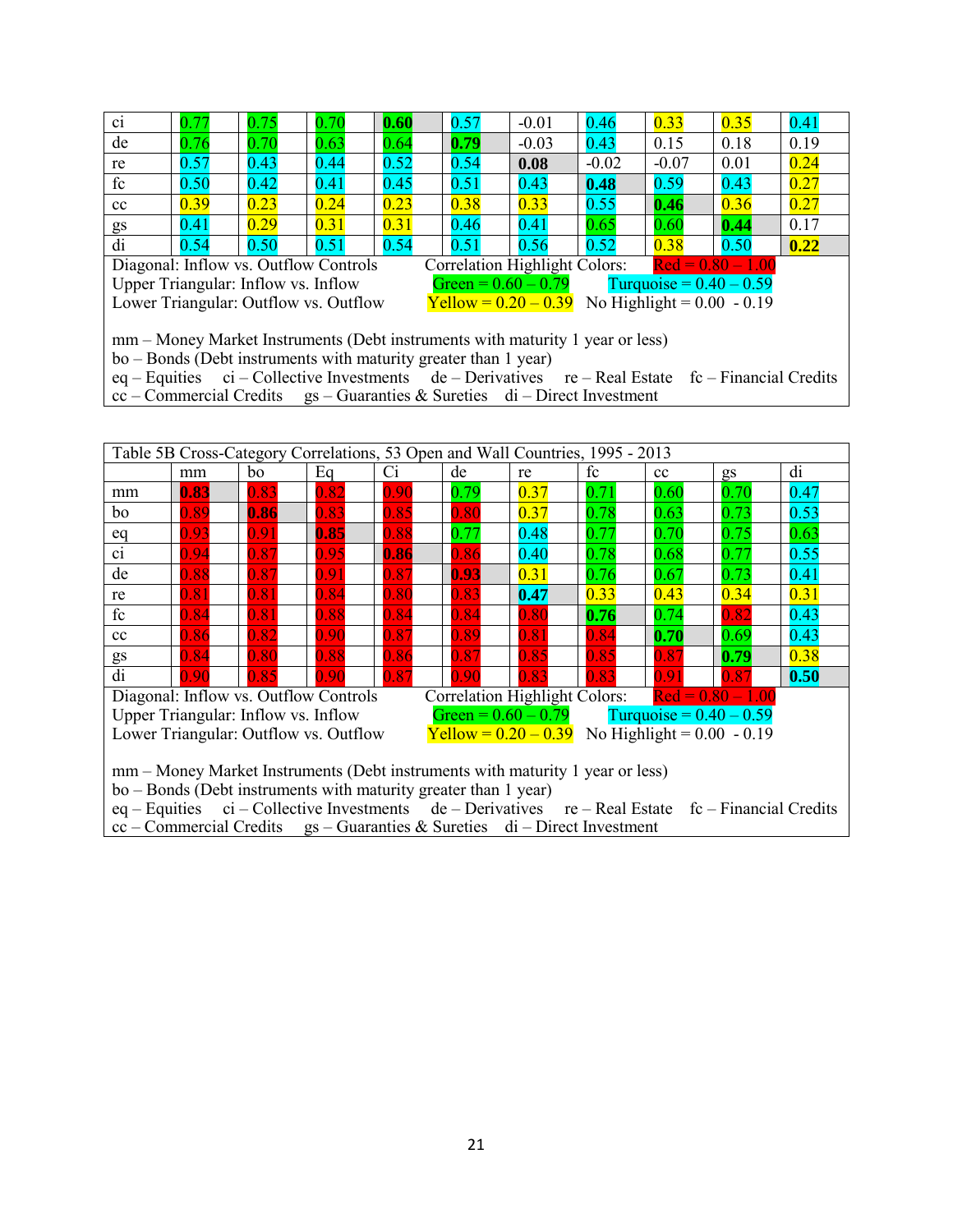| ci                                                                                                                                                                                                                                         | 0.77                                | 0.75 | 0.70                                                                        | 0.60 | 0.57 | $-0.01$                                           | 0.46    | 0.33                      | 0.35                | 0.41 |
|--------------------------------------------------------------------------------------------------------------------------------------------------------------------------------------------------------------------------------------------|-------------------------------------|------|-----------------------------------------------------------------------------|------|------|---------------------------------------------------|---------|---------------------------|---------------------|------|
| de                                                                                                                                                                                                                                         | 0.76                                | 0.70 | 0.63                                                                        | 0.64 | 0.79 | $-0.03$                                           | 0.43    | 0.15                      | 0.18                | 0.19 |
| re                                                                                                                                                                                                                                         | 0.57                                | 0.43 | 0.44                                                                        | 0.52 | 0.54 | 0.08                                              | $-0.02$ | $-0.07$                   | 0.01                | 0.24 |
| fc                                                                                                                                                                                                                                         | 0.50                                | 0.42 | 0.41                                                                        | 0.45 | 0.51 | 0.43                                              | 0.48    | 0.59                      | 0.43                | 0.27 |
| cc                                                                                                                                                                                                                                         | 0.39                                | 0.23 | 0.24                                                                        | 0.23 | 0.38 | 0.33                                              | 0.55    | 0.46                      | 0.36                | 0.27 |
| gs                                                                                                                                                                                                                                         | 0.41                                | 0.29 | 0.31                                                                        | 0.31 | 0.46 | 0.41                                              | 0.65    | 0.60                      | 0.44                | 0.17 |
| di                                                                                                                                                                                                                                         | 0.54                                | 0.50 | 0.51                                                                        | 0.54 | 0.51 | 0.56                                              | 0.52    | 0.38                      | 0.50                | 0.22 |
|                                                                                                                                                                                                                                            |                                     |      | Diagonal: Inflow vs. Outflow Controls                                       |      |      | <b>Correlation Highlight Colors:</b>              |         |                           | $Red = 0.80 - 1.00$ |      |
|                                                                                                                                                                                                                                            | Upper Triangular: Inflow vs. Inflow |      |                                                                             |      |      | Green = $0.60 - 0.79$                             |         | Turquoise = $0.40 - 0.59$ |                     |      |
|                                                                                                                                                                                                                                            |                                     |      | Lower Triangular: Outflow vs. Outflow                                       |      |      | $Yellow = 0.20 - 0.39$ No Highlight = 0.00 - 0.19 |         |                           |                     |      |
| mm – Money Market Instruments (Debt instruments with maturity 1 year or less)<br>bo – Bonds (Debt instruments with maturity greater than 1 year)<br>$ci$ – Collective Investments de – Derivatives re – Real Estate fc – Financial Credits |                                     |      |                                                                             |      |      |                                                   |         |                           |                     |      |
| $eq$ – Equities                                                                                                                                                                                                                            |                                     |      |                                                                             |      |      |                                                   |         |                           |                     |      |
|                                                                                                                                                                                                                                            |                                     |      | $cc$ – Commercial Credits gs – Guaranties & Sureties di – Direct Investment |      |      |                                                   |         |                           |                     |      |

|                                                                                                     | Table 5B Cross-Category Correlations, 53 Open and Wall Countries, 1995 - 2013                                                                                                     |                                     |                                       |      |      |                       |                                      |                           |                     |      |  |  |
|-----------------------------------------------------------------------------------------------------|-----------------------------------------------------------------------------------------------------------------------------------------------------------------------------------|-------------------------------------|---------------------------------------|------|------|-----------------------|--------------------------------------|---------------------------|---------------------|------|--|--|
|                                                                                                     | mm                                                                                                                                                                                | bo                                  | Eq                                    | Ci   | de   | re                    | fc                                   | cc                        | gs                  | di   |  |  |
| mm                                                                                                  | 0.83                                                                                                                                                                              | 0.83                                | 0.82                                  | 0.90 | 0.79 | 0.37                  | 0.71                                 | 0.60                      | 0.70                | 0.47 |  |  |
| bo                                                                                                  | 0.89                                                                                                                                                                              | 0.86                                | 0.83                                  | 0.85 | 0.80 | 0.37                  | 0.78                                 | 0.63                      | 0.73                | 0.53 |  |  |
| eq                                                                                                  | 0.93                                                                                                                                                                              | 0.91                                | 0.85                                  | 0.88 | 0.77 | 0.48                  | 0.77                                 | 0.70                      | 0.75                | 0.63 |  |  |
| $\overline{ci}$                                                                                     | 0.94                                                                                                                                                                              | 0.87                                | 0.95                                  | 0.86 | 0.86 | 0.40                  | 0.78                                 | 0.68                      | 0.77                | 0.55 |  |  |
| de                                                                                                  | 0.88                                                                                                                                                                              | 0.87                                | 0.91                                  | 0.87 | 0.93 | 0.31                  | 0.76                                 | 0.67                      | 0.73                | 0.41 |  |  |
| re                                                                                                  | 0.31<br>0.81<br>0.80<br>0.83<br>0.33<br>0.34<br>$\,0.81$<br>$\,0.84\,$<br>0.43<br>0.47                                                                                            |                                     |                                       |      |      |                       |                                      |                           |                     |      |  |  |
| fc                                                                                                  | 0.84                                                                                                                                                                              | 0.81                                | 0.88                                  | 0.84 | 0.84 | 0.80                  | 0.76                                 | 0.74                      | 0.82                | 0.43 |  |  |
| cc                                                                                                  | 0.86                                                                                                                                                                              | 0.82                                | 0.90                                  | 0.87 | 0.89 | 0.81                  | 0.84                                 | 0.70                      | 0.69                | 0.43 |  |  |
| gs                                                                                                  | 0.84                                                                                                                                                                              | $\,0.80\,$                          | 0.88                                  | 0.86 | 0.87 | 0.85                  | 0.85                                 | 0.87                      | 0.79                | 0.38 |  |  |
| di                                                                                                  | 0.90                                                                                                                                                                              | 0.85                                | 0.90                                  | 0.87 | 0.90 | 0.83                  | 0.83                                 | 0.91                      | 0.87                | 0.50 |  |  |
|                                                                                                     |                                                                                                                                                                                   |                                     | Diagonal: Inflow vs. Outflow Controls |      |      |                       | <b>Correlation Highlight Colors:</b> |                           | $Red = 0.80 - 1.00$ |      |  |  |
|                                                                                                     |                                                                                                                                                                                   | Upper Triangular: Inflow vs. Inflow |                                       |      |      | Green = $0.60 - 0.79$ |                                      | Turquoise = $0.40 - 0.59$ |                     |      |  |  |
| <b>Yellow</b> = $0.20 - 0.39$ No Highlight = $0.00 - 0.19$<br>Lower Triangular: Outflow vs. Outflow |                                                                                                                                                                                   |                                     |                                       |      |      |                       |                                      |                           |                     |      |  |  |
|                                                                                                     |                                                                                                                                                                                   |                                     |                                       |      |      |                       |                                      |                           |                     |      |  |  |
| mm – Money Market Instruments (Debt instruments with maturity 1 year or less)                       |                                                                                                                                                                                   |                                     |                                       |      |      |                       |                                      |                           |                     |      |  |  |
| bo – Bonds (Debt instruments with maturity greater than 1 year)                                     |                                                                                                                                                                                   |                                     |                                       |      |      |                       |                                      |                           |                     |      |  |  |
|                                                                                                     |                                                                                                                                                                                   |                                     |                                       |      |      |                       |                                      |                           |                     |      |  |  |
|                                                                                                     | eq – Equities ci – Collective Investments de – Derivatives re – Real Estate fc – Financial Credits<br>$cc$ – Commercial Credits gs – Guaranties & Sureties di – Direct Investment |                                     |                                       |      |      |                       |                                      |                           |                     |      |  |  |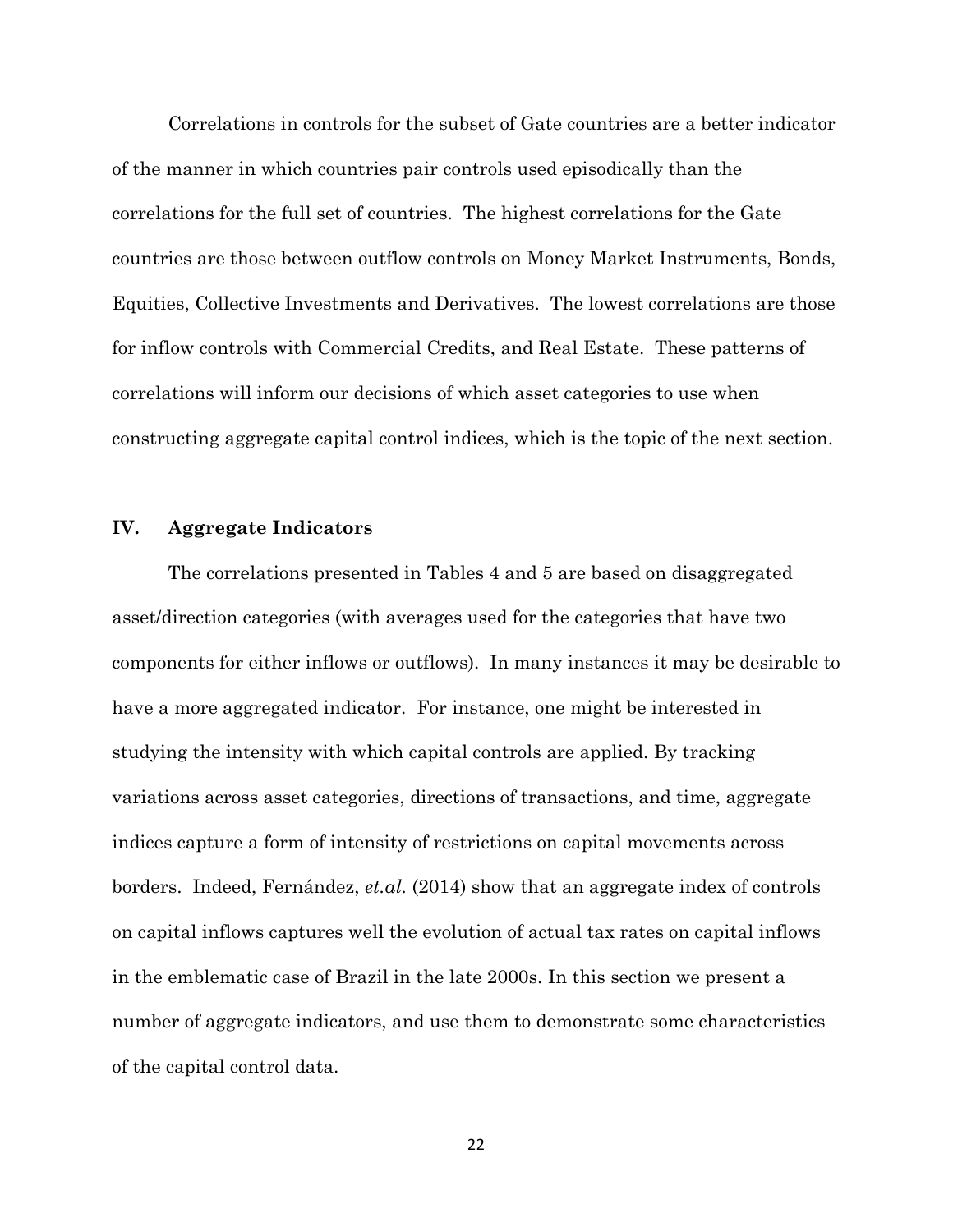Correlations in controls for the subset of Gate countries are a better indicator of the manner in which countries pair controls used episodically than the correlations for the full set of countries. The highest correlations for the Gate countries are those between outflow controls on Money Market Instruments, Bonds, Equities, Collective Investments and Derivatives. The lowest correlations are those for inflow controls with Commercial Credits, and Real Estate. These patterns of correlations will inform our decisions of which asset categories to use when constructing aggregate capital control indices, which is the topic of the next section.

## **IV. Aggregate Indicators**

The correlations presented in Tables 4 and 5 are based on disaggregated asset/direction categories (with averages used for the categories that have two components for either inflows or outflows). In many instances it may be desirable to have a more aggregated indicator. For instance, one might be interested in studying the intensity with which capital controls are applied. By tracking variations across asset categories, directions of transactions, and time, aggregate indices capture a form of intensity of restrictions on capital movements across borders. Indeed, Fernández, *et.al.* (2014) show that an aggregate index of controls on capital inflows captures well the evolution of actual tax rates on capital inflows in the emblematic case of Brazil in the late 2000s. In this section we present a number of aggregate indicators, and use them to demonstrate some characteristics of the capital control data.

22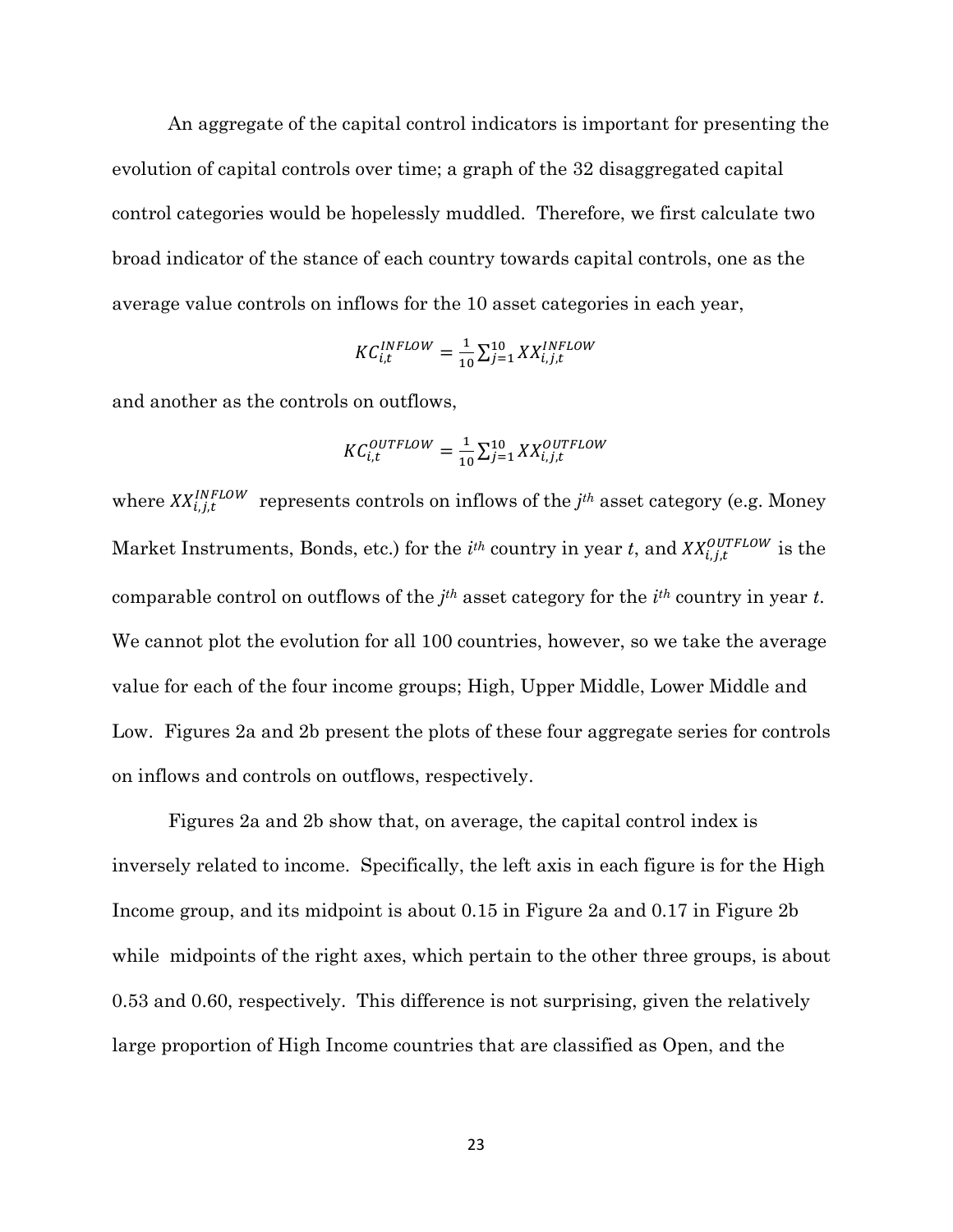An aggregate of the capital control indicators is important for presenting the evolution of capital controls over time; a graph of the 32 disaggregated capital control categories would be hopelessly muddled. Therefore, we first calculate two broad indicator of the stance of each country towards capital controls, one as the average value controls on inflows for the 10 asset categories in each year,

$$
KC_{i,t}^{INFLOW} = \frac{1}{10} \sum_{j=1}^{10} XX_{i,j,t}^{INFLOW}
$$

and another as the controls on outflows,

$$
KC_{i,t}^{OUTFLOW} = \frac{1}{10} \sum_{j=1}^{10} XX_{i,j,t}^{OUTFLOW}
$$

where  $XX_{i,i,t}^{INFLOW}$  represents controls on inflows of the  $j<sup>th</sup>$  asset category (e.g. Money Market Instruments, Bonds, etc.) for the  $i^{th}$  country in year *t*, and  $XX_{i}^{OUTFLOW}$  is the comparable control on outflows of the *j th* asset category for the *i th* country in year *t*. We cannot plot the evolution for all 100 countries, however, so we take the average value for each of the four income groups; High, Upper Middle, Lower Middle and Low. Figures 2a and 2b present the plots of these four aggregate series for controls on inflows and controls on outflows, respectively.

Figures 2a and 2b show that, on average, the capital control index is inversely related to income. Specifically, the left axis in each figure is for the High Income group, and its midpoint is about 0.15 in Figure 2a and 0.17 in Figure 2b while midpoints of the right axes, which pertain to the other three groups, is about 0.53 and 0.60, respectively. This difference is not surprising, given the relatively large proportion of High Income countries that are classified as Open, and the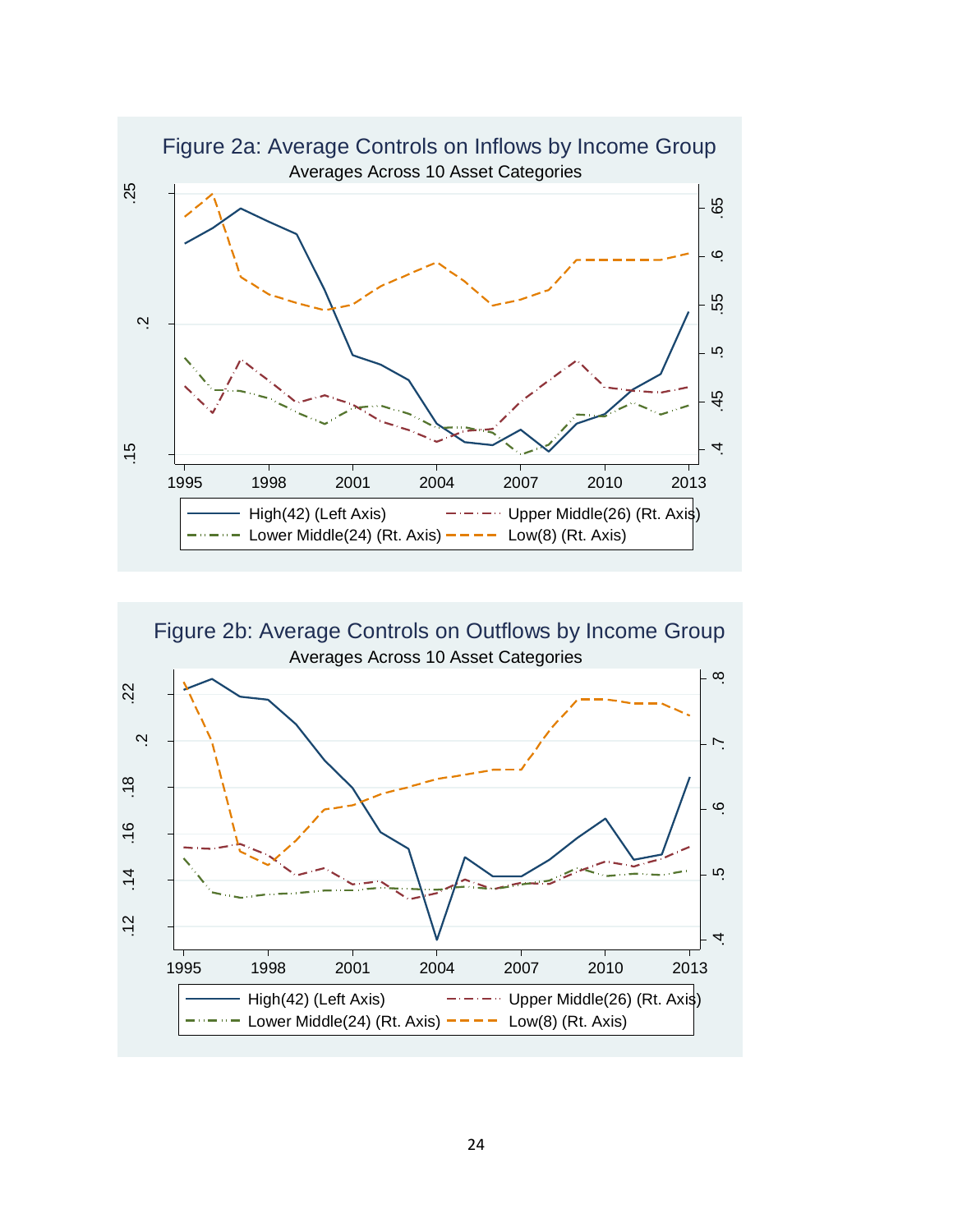

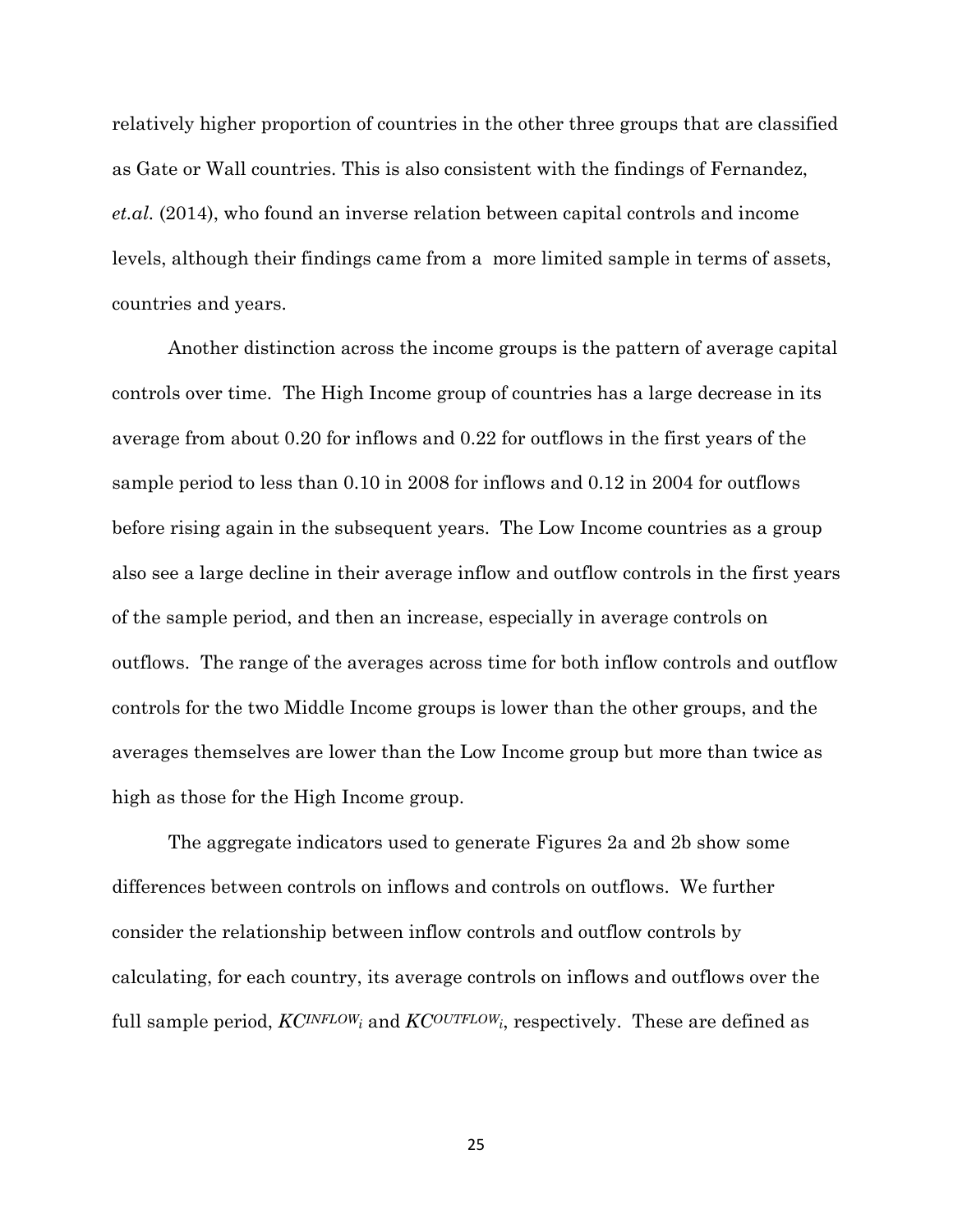relatively higher proportion of countries in the other three groups that are classified as Gate or Wall countries. This is also consistent with the findings of Fernandez, *et.al.* (2014), who found an inverse relation between capital controls and income levels, although their findings came from a more limited sample in terms of assets, countries and years.

Another distinction across the income groups is the pattern of average capital controls over time. The High Income group of countries has a large decrease in its average from about 0.20 for inflows and 0.22 for outflows in the first years of the sample period to less than 0.10 in 2008 for inflows and 0.12 in 2004 for outflows before rising again in the subsequent years. The Low Income countries as a group also see a large decline in their average inflow and outflow controls in the first years of the sample period, and then an increase, especially in average controls on outflows. The range of the averages across time for both inflow controls and outflow controls for the two Middle Income groups is lower than the other groups, and the averages themselves are lower than the Low Income group but more than twice as high as those for the High Income group.

The aggregate indicators used to generate Figures 2a and 2b show some differences between controls on inflows and controls on outflows. We further consider the relationship between inflow controls and outflow controls by calculating, for each country, its average controls on inflows and outflows over the full sample period,  $KC^{INFLOW}$  and  $KC^{OUTFLOW}$ , respectively. These are defined as

25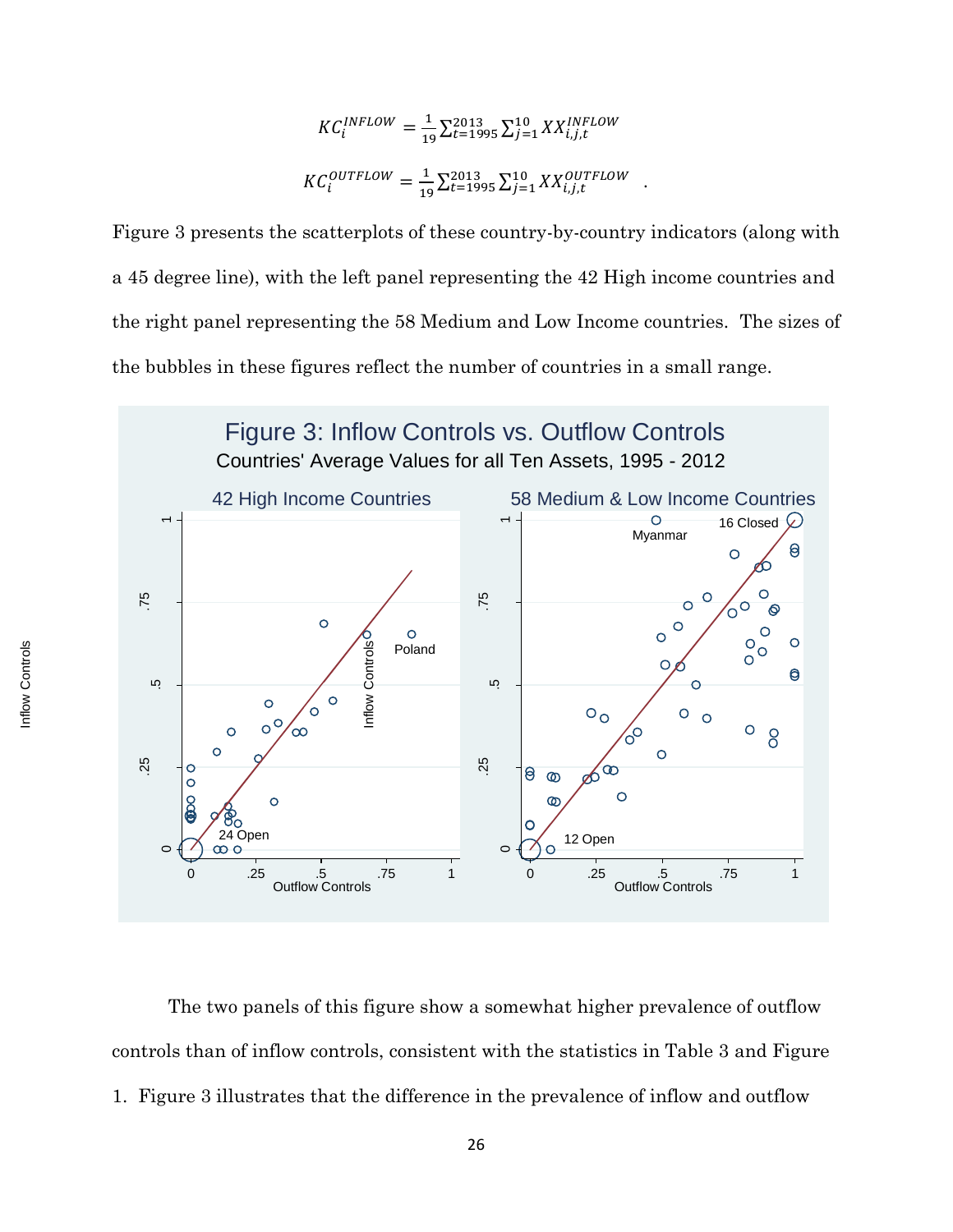$$
KC_i^{INFLOW} = \frac{1}{19} \sum_{t=1995}^{2013} \sum_{j=1}^{10} XX_{i,j,t}^{INFLOW}
$$
  

$$
KC_i^{OUTFLOW} = \frac{1}{19} \sum_{t=1995}^{2013} \sum_{j=1}^{10} XX_{i,j,t}^{OUTFLOW}
$$
.

Figure 3 presents the scatterplots of these country-by-country indicators (along with a 45 degree line), with the left panel representing the 42 High income countries and the right panel representing the 58 Medium and Low Income countries. The sizes of the bubbles in these figures reflect the number of countries in a small range.



The two panels of this figure show a somewhat higher prevalence of outflow controls than of inflow controls, consistent with the statistics in Table 3 and Figure 1. Figure 3 illustrates that the difference in the prevalence of inflow and outflow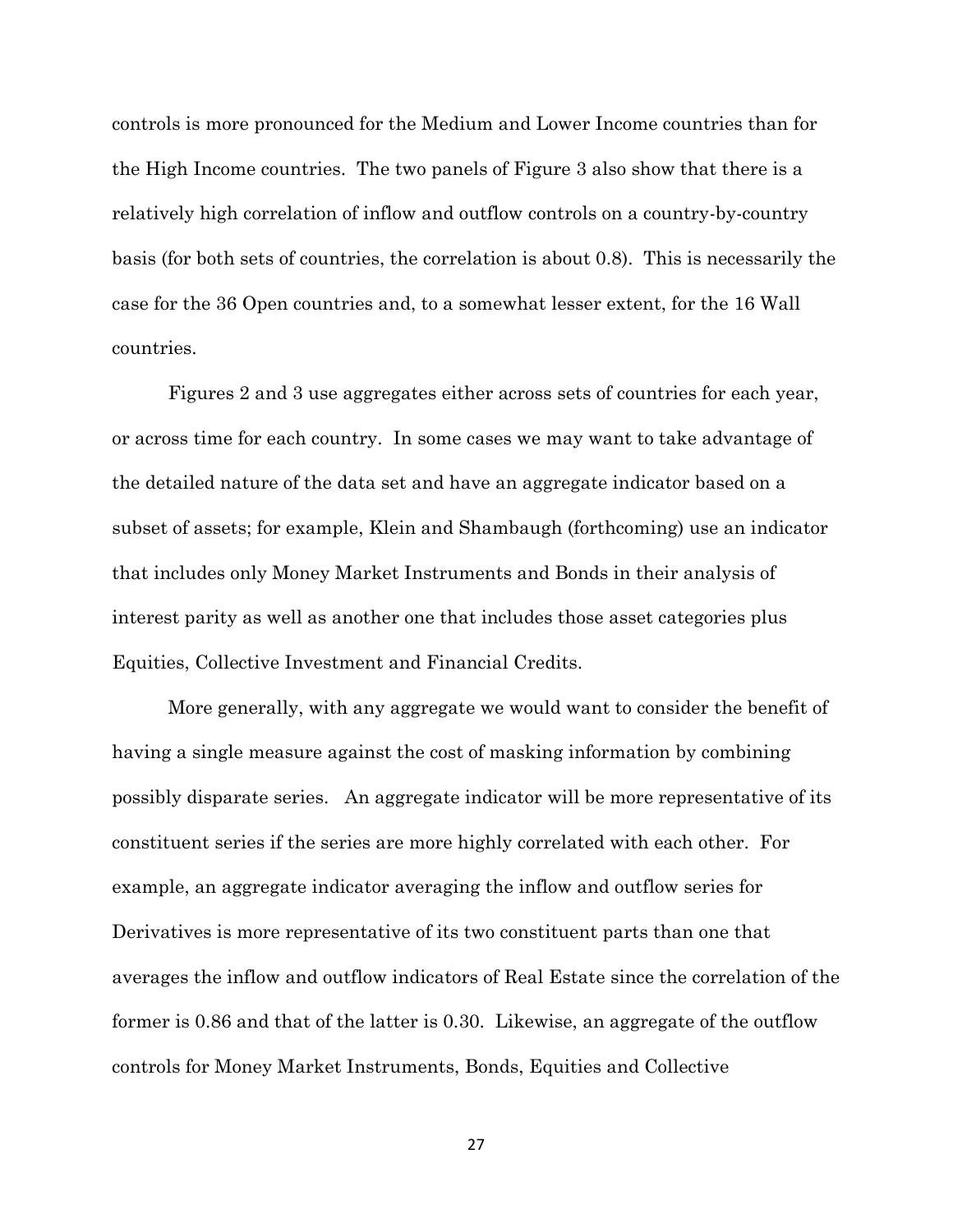controls is more pronounced for the Medium and Lower Income countries than for the High Income countries. The two panels of Figure 3 also show that there is a relatively high correlation of inflow and outflow controls on a country-by-country basis (for both sets of countries, the correlation is about 0.8). This is necessarily the case for the 36 Open countries and, to a somewhat lesser extent, for the 16 Wall countries.

 Figures 2 and 3 use aggregates either across sets of countries for each year, or across time for each country. In some cases we may want to take advantage of the detailed nature of the data set and have an aggregate indicator based on a subset of assets; for example, Klein and Shambaugh (forthcoming) use an indicator that includes only Money Market Instruments and Bonds in their analysis of interest parity as well as another one that includes those asset categories plus Equities, Collective Investment and Financial Credits.

More generally, with any aggregate we would want to consider the benefit of having a single measure against the cost of masking information by combining possibly disparate series. An aggregate indicator will be more representative of its constituent series if the series are more highly correlated with each other. For example, an aggregate indicator averaging the inflow and outflow series for Derivatives is more representative of its two constituent parts than one that averages the inflow and outflow indicators of Real Estate since the correlation of the former is 0.86 and that of the latter is 0.30. Likewise, an aggregate of the outflow controls for Money Market Instruments, Bonds, Equities and Collective

27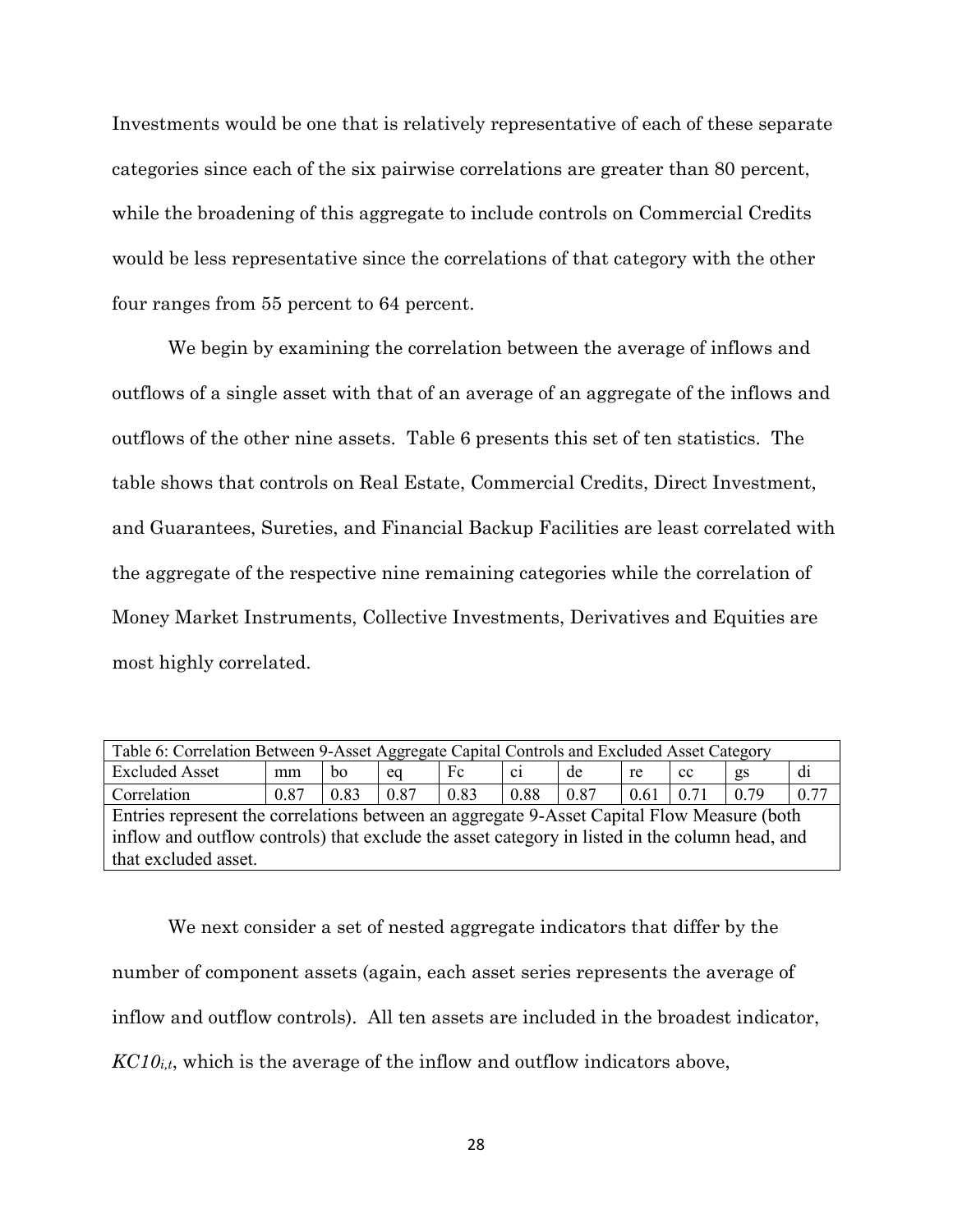Investments would be one that is relatively representative of each of these separate categories since each of the six pairwise correlations are greater than 80 percent, while the broadening of this aggregate to include controls on Commercial Credits would be less representative since the correlations of that category with the other four ranges from 55 percent to 64 percent.

We begin by examining the correlation between the average of inflows and outflows of a single asset with that of an average of an aggregate of the inflows and outflows of the other nine assets. Table 6 presents this set of ten statistics. The table shows that controls on Real Estate, Commercial Credits, Direct Investment, and Guarantees, Sureties, and Financial Backup Facilities are least correlated with the aggregate of the respective nine remaining categories while the correlation of Money Market Instruments, Collective Investments, Derivatives and Equities are most highly correlated.

| Table 6: Correlation Between 9-Asset Aggregate Capital Controls and Excluded Asset Category    |      |      |      |      |      |      |      |      |      |      |
|------------------------------------------------------------------------------------------------|------|------|------|------|------|------|------|------|------|------|
| <b>Excluded Asset</b>                                                                          | mm   | bo   | eq   | Fc   | ci.  | de   | re   | cc   | gs   | di   |
| Correlation                                                                                    | 0.87 | 0.83 | 0.87 | 0.83 | 0.88 | 0.87 | 0.61 | 0.71 | 0.79 | 0.77 |
| Entries represent the correlations between an aggregate 9-Asset Capital Flow Measure (both     |      |      |      |      |      |      |      |      |      |      |
| inflow and outflow controls) that exclude the asset category in listed in the column head, and |      |      |      |      |      |      |      |      |      |      |
| that excluded asset.                                                                           |      |      |      |      |      |      |      |      |      |      |

We next consider a set of nested aggregate indicators that differ by the number of component assets (again, each asset series represents the average of inflow and outflow controls). All ten assets are included in the broadest indicator, *KC10i,t*, which is the average of the inflow and outflow indicators above,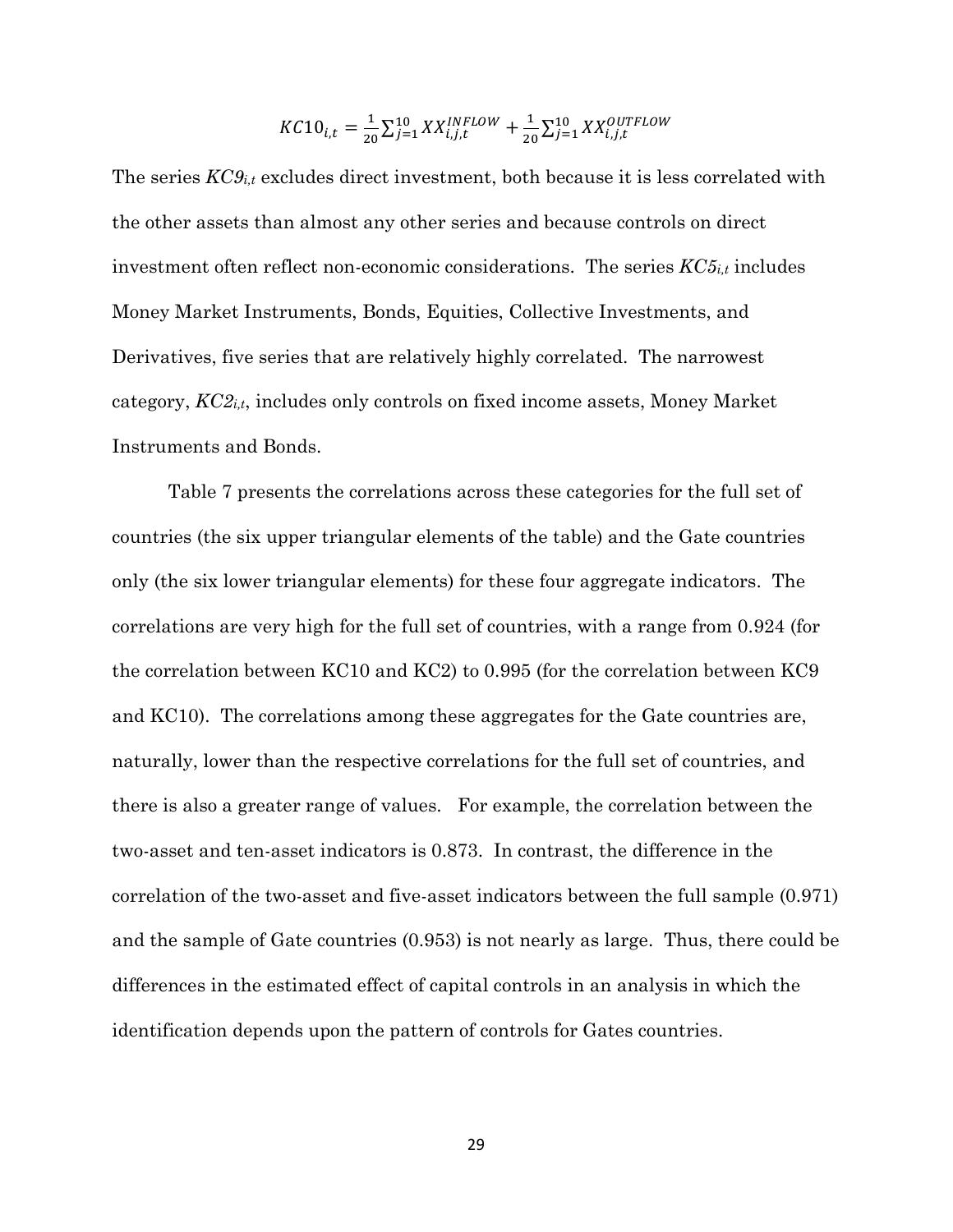$$
KC10_{i,t} = \frac{1}{20} \sum_{j=1}^{10} XX_{i,j,t}^{INFLOW} + \frac{1}{20} \sum_{j=1}^{10} XX_{i,j,t}^{OUTFLOW}
$$

The series *KC9i,t* excludes direct investment, both because it is less correlated with the other assets than almost any other series and because controls on direct investment often reflect non-economic considerations. The series  $KC5<sub>i,t</sub>$  includes Money Market Instruments, Bonds, Equities, Collective Investments, and Derivatives, five series that are relatively highly correlated. The narrowest category, *KC2i,t*, includes only controls on fixed income assets, Money Market Instruments and Bonds.

Table 7 presents the correlations across these categories for the full set of countries (the six upper triangular elements of the table) and the Gate countries only (the six lower triangular elements) for these four aggregate indicators. The correlations are very high for the full set of countries, with a range from 0.924 (for the correlation between KC10 and KC2) to 0.995 (for the correlation between KC9 and KC10). The correlations among these aggregates for the Gate countries are, naturally, lower than the respective correlations for the full set of countries, and there is also a greater range of values. For example, the correlation between the two-asset and ten-asset indicators is 0.873. In contrast, the difference in the correlation of the two-asset and five-asset indicators between the full sample (0.971) and the sample of Gate countries (0.953) is not nearly as large. Thus, there could be differences in the estimated effect of capital controls in an analysis in which the identification depends upon the pattern of controls for Gates countries.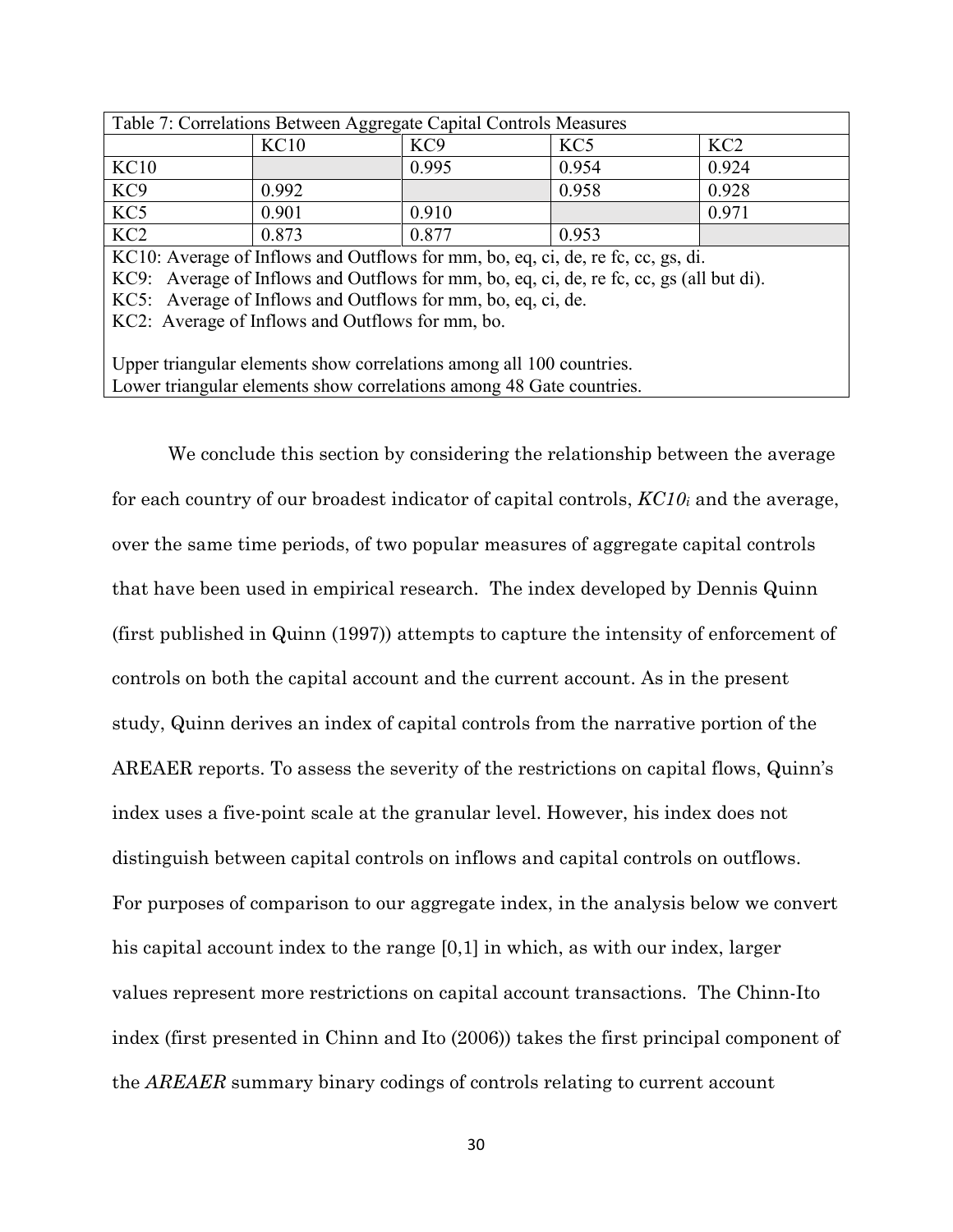| Table 7: Correlations Between Aggregate Capital Controls Measures |       |                 |                 |       |  |  |  |  |  |
|-------------------------------------------------------------------|-------|-----------------|-----------------|-------|--|--|--|--|--|
|                                                                   | KC10  | KC <sub>9</sub> | KC <sub>5</sub> | KC2   |  |  |  |  |  |
| <b>KC10</b>                                                       |       | 0.995           | 0.954           | 0.924 |  |  |  |  |  |
| KC <sub>9</sub>                                                   | 0.992 |                 | 0.958           | 0.928 |  |  |  |  |  |
| $\overline{KC5}$                                                  | 0.901 | 0.910           |                 | 0.971 |  |  |  |  |  |
| $\overline{KC2}$                                                  | 0.873 | 0.877           | 0.953           |       |  |  |  |  |  |

KC10: Average of Inflows and Outflows for mm, bo, eq, ci, de, re fc, cc, gs, di.

KC9: Average of Inflows and Outflows for mm, bo, eq, ci, de, re fc, cc, gs (all but di).

KC5: Average of Inflows and Outflows for mm, bo, eq, ci, de.

KC2: Average of Inflows and Outflows for mm, bo.

Upper triangular elements show correlations among all 100 countries. Lower triangular elements show correlations among 48 Gate countries.

We conclude this section by considering the relationship between the average for each country of our broadest indicator of capital controls, *KC10i* and the average, over the same time periods, of two popular measures of aggregate capital controls that have been used in empirical research. The index developed by Dennis Quinn (first published in Quinn (1997)) attempts to capture the intensity of enforcement of controls on both the capital account and the current account. As in the present study, Quinn derives an index of capital controls from the narrative portion of the AREAER reports. To assess the severity of the restrictions on capital flows, Quinn's index uses a five-point scale at the granular level. However, his index does not distinguish between capital controls on inflows and capital controls on outflows. For purposes of comparison to our aggregate index, in the analysis below we convert his capital account index to the range [0,1] in which, as with our index, larger values represent more restrictions on capital account transactions. The Chinn-Ito index (first presented in Chinn and Ito (2006)) takes the first principal component of the *AREAER* summary binary codings of controls relating to current account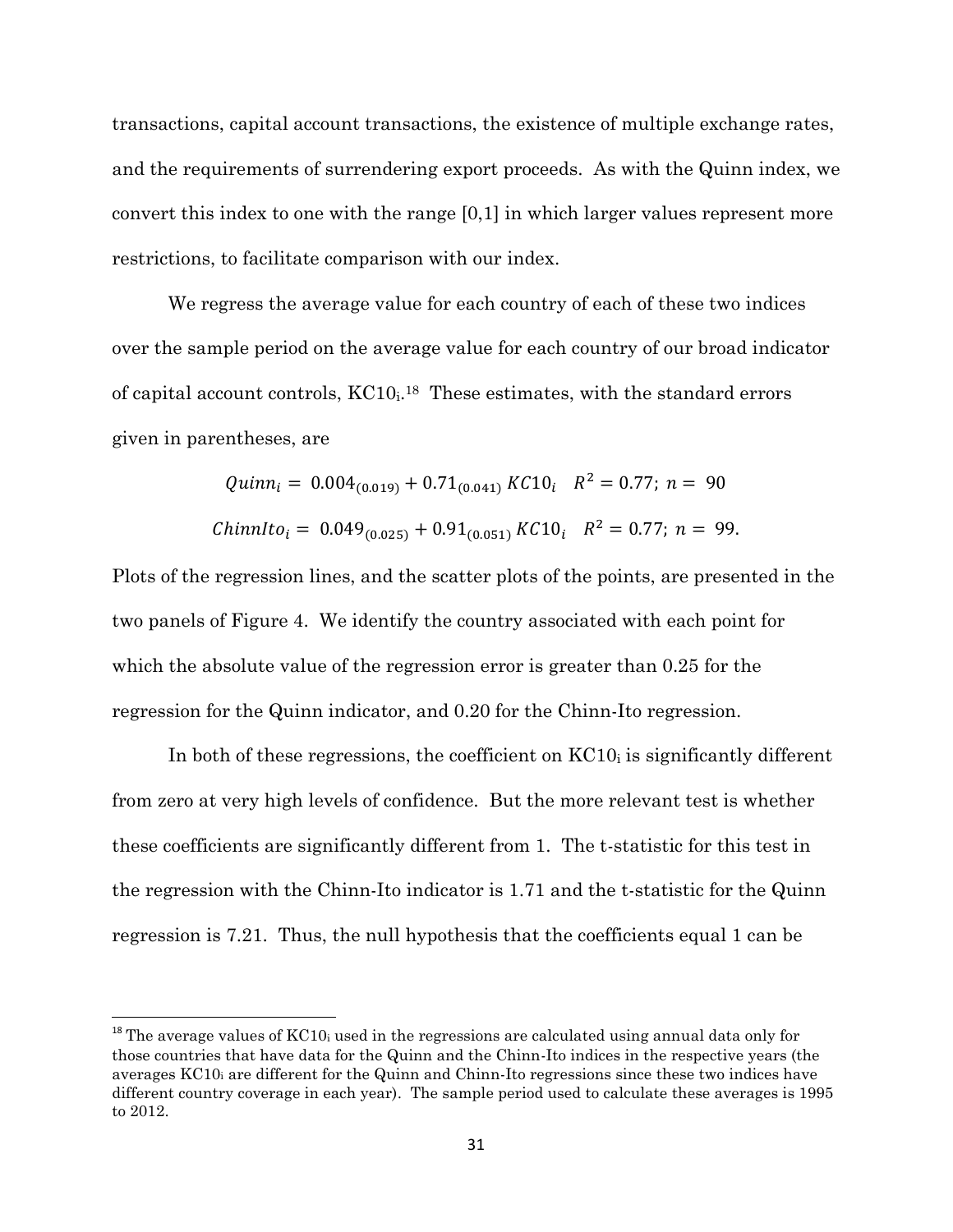transactions, capital account transactions, the existence of multiple exchange rates, and the requirements of surrendering export proceeds. As with the Quinn index, we convert this index to one with the range [0,1] in which larger values represent more restrictions, to facilitate comparison with our index.

We regress the average value for each country of each of these two indices over the sample period on the average value for each country of our broad indicator of capital account controls, KC10<sub>i</sub><sup>18</sup> These estimates, with the standard errors given in parentheses, are

*Quinn<sub>i</sub>* = 
$$
0.004_{(0.019)} + 0.71_{(0.041)} K C 10_i
$$
  $R^2 = 0.77$ ;  $n = 90$   
\n*Chinnlto<sub>i</sub>* =  $0.049_{(0.025)} + 0.91_{(0.051)} K C 10_i$   $R^2 = 0.77$ ;  $n = 99$ .

Plots of the regression lines, and the scatter plots of the points, are presented in the two panels of Figure 4. We identify the country associated with each point for which the absolute value of the regression error is greater than 0.25 for the regression for the Quinn indicator, and 0.20 for the Chinn-Ito regression.

In both of these regressions, the coefficient on  $KCl<sub>0</sub>$  is significantly different from zero at very high levels of confidence. But the more relevant test is whether these coefficients are significantly different from 1. The t-statistic for this test in the regression with the Chinn-Ito indicator is 1.71 and the t-statistic for the Quinn regression is 7.21. Thus, the null hypothesis that the coefficients equal 1 can be

 $18$  The average values of KC10<sub>i</sub> used in the regressions are calculated using annual data only for those countries that have data for the Quinn and the Chinn-Ito indices in the respective years (the averages KC10i are different for the Quinn and Chinn-Ito regressions since these two indices have different country coverage in each year). The sample period used to calculate these averages is 1995 to 2012.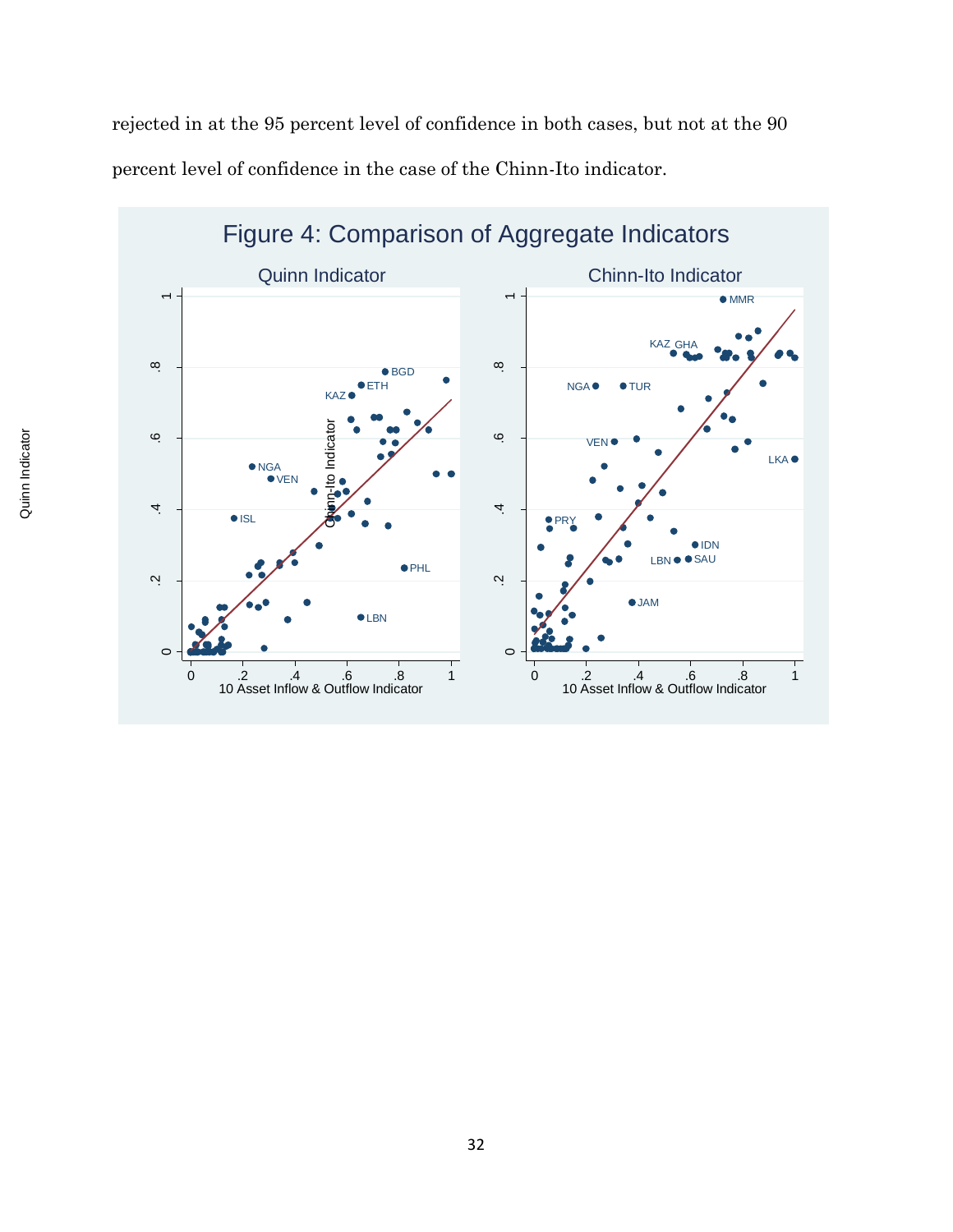rejected in at the 95 percent level of confidence in both cases, but not at the 90 percent level of confidence in the case of the Chinn-Ito indicator.

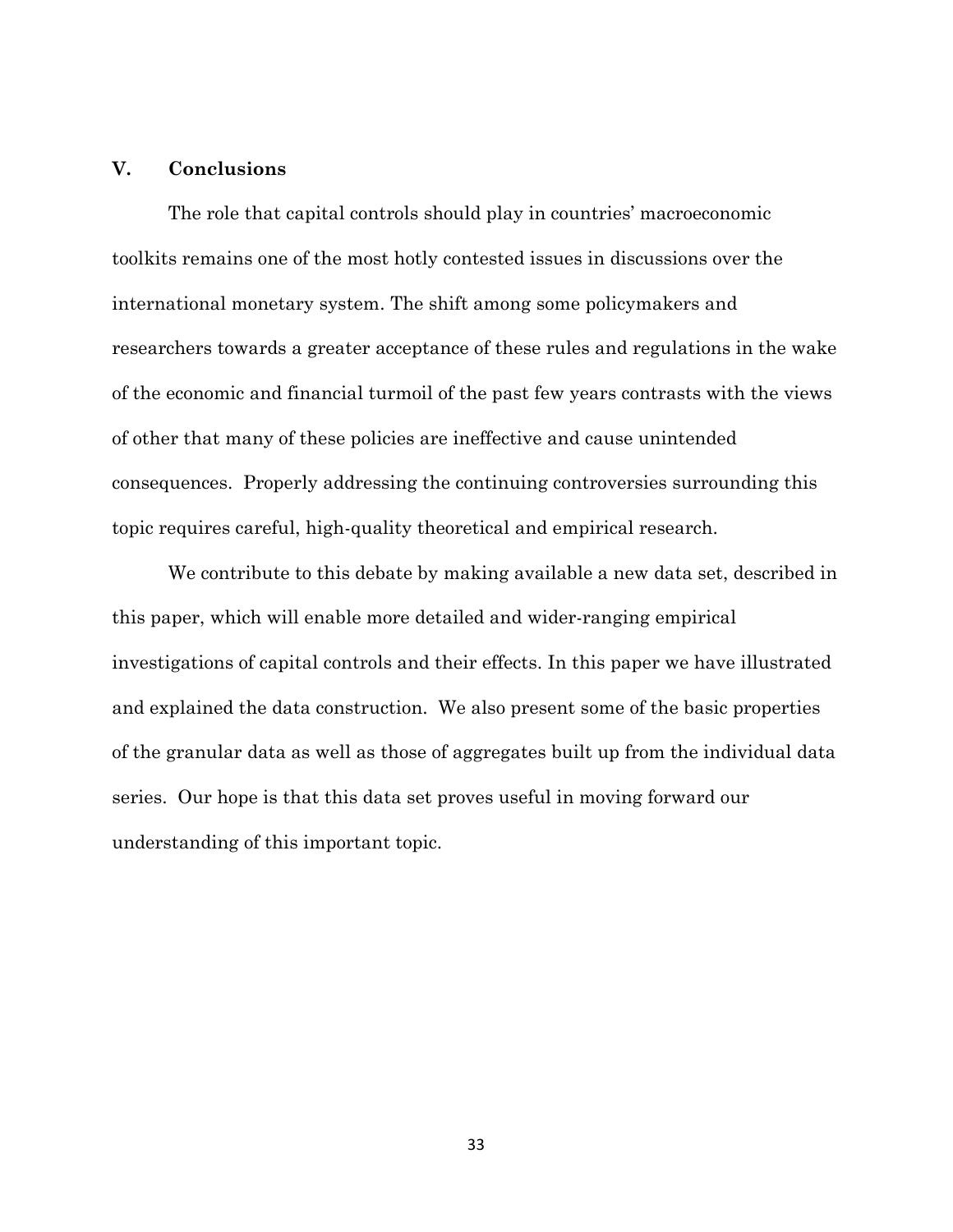## **V. Conclusions**

The role that capital controls should play in countries' macroeconomic toolkits remains one of the most hotly contested issues in discussions over the international monetary system. The shift among some policymakers and researchers towards a greater acceptance of these rules and regulations in the wake of the economic and financial turmoil of the past few years contrasts with the views of other that many of these policies are ineffective and cause unintended consequences. Properly addressing the continuing controversies surrounding this topic requires careful, high-quality theoretical and empirical research.

We contribute to this debate by making available a new data set, described in this paper, which will enable more detailed and wider-ranging empirical investigations of capital controls and their effects. In this paper we have illustrated and explained the data construction. We also present some of the basic properties of the granular data as well as those of aggregates built up from the individual data series. Our hope is that this data set proves useful in moving forward our understanding of this important topic.

33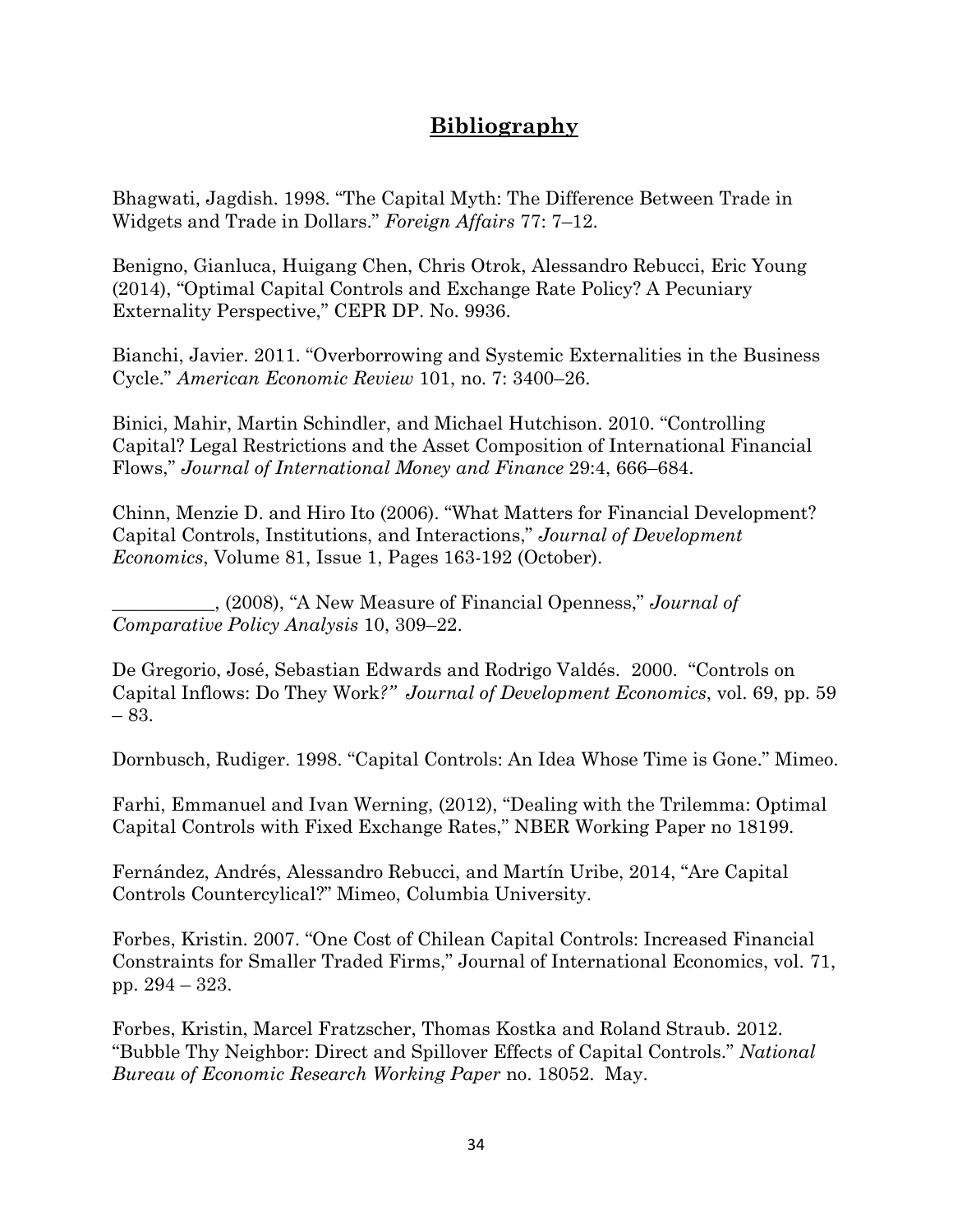## **Bibliography**

Bhagwati, Jagdish. 1998. "The Capital Myth: The Difference Between Trade in Widgets and Trade in Dollars." *Foreign Affairs* 77: 7–12.

Benigno, Gianluca, Huigang Chen, Chris Otrok, Alessandro Rebucci, Eric Young (2014), "Optimal Capital Controls and Exchange Rate Policy? A Pecuniary Externality Perspective," CEPR DP. No. 9936.

Bianchi, Javier. 2011. "Overborrowing and Systemic Externalities in the Business Cycle." *American Economic Review* 101, no. 7: 3400–26.

Binici, Mahir, Martin Schindler, and Michael Hutchison. 2010. "Controlling Capital? Legal Restrictions and the Asset Composition of International Financial Flows," *Journal of International Money and Finance* 29:4, 666–684.

Chinn, Menzie D. and Hiro Ito (2006). "What Matters for Financial Development? Capital Controls, Institutions, and Interactions," *Journal of Development Economics*, Volume 81, Issue 1, Pages 163-192 (October).

\_\_\_\_\_\_\_\_\_\_\_, (2008), "A New Measure of Financial Openness," *Journal of Comparative Policy Analysis* 10, 309–22.

De Gregorio, José, Sebastian Edwards and Rodrigo Valdés. 2000. "Controls on Capital Inflows: Do They Work*?" Journal of Development Economics*, vol. 69, pp. 59 – 83.

Dornbusch, Rudiger. 1998. "Capital Controls: An Idea Whose Time is Gone." Mimeo.

Farhi, Emmanuel and Ivan Werning, (2012), "Dealing with the Trilemma: Optimal Capital Controls with Fixed Exchange Rates," NBER Working Paper no 18199.

Fernández, Andrés, Alessandro Rebucci, and Martín Uribe, 2014, "Are Capital Controls Countercylical?" Mimeo, Columbia University.

Forbes, Kristin. 2007. "One Cost of Chilean Capital Controls: Increased Financial Constraints for Smaller Traded Firms," Journal of International Economics, vol. 71, pp. 294 – 323.

Forbes, Kristin, Marcel Fratzscher, Thomas Kostka and Roland Straub. 2012. "Bubble Thy Neighbor: Direct and Spillover Effects of Capital Controls." *National Bureau of Economic Research Working Paper* no. 18052. May.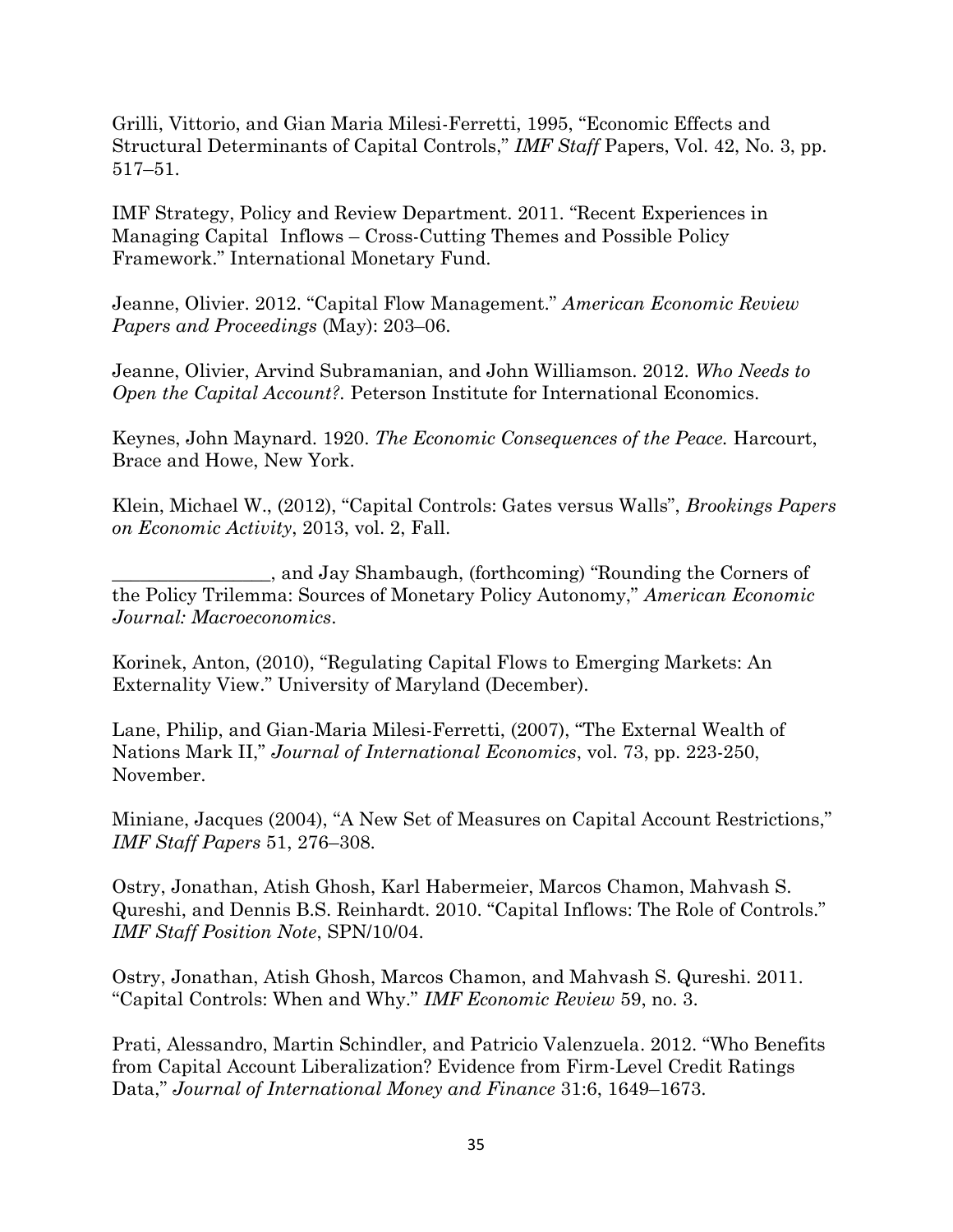Grilli, Vittorio, and Gian Maria Milesi-Ferretti, 1995, "Economic Effects and Structural Determinants of Capital Controls," *IMF Staff* Papers, Vol. 42, No. 3, pp. 517–51.

IMF Strategy, Policy and Review Department. 2011. "Recent Experiences in Managing Capital Inflows – Cross-Cutting Themes and Possible Policy Framework." International Monetary Fund.

Jeanne, Olivier. 2012. "Capital Flow Management." *American Economic Review Papers and Proceedings* (May): 203–06.

Jeanne, Olivier, Arvind Subramanian, and John Williamson. 2012. *Who Needs to Open the Capital Account?.* Peterson Institute for International Economics.

Keynes, John Maynard. 1920. *The Economic Consequences of the Peace.* Harcourt, Brace and Howe, New York.

Klein, Michael W., (2012), "Capital Controls: Gates versus Walls", *Brookings Papers on Economic Activity*, 2013, vol. 2, Fall.

\_\_\_\_\_\_\_\_\_\_\_\_\_\_\_\_\_, and Jay Shambaugh, (forthcoming) "Rounding the Corners of the Policy Trilemma: Sources of Monetary Policy Autonomy," *American Economic Journal: Macroeconomics*.

Korinek, Anton, (2010), "Regulating Capital Flows to Emerging Markets: An Externality View." University of Maryland (December).

Lane, Philip, and Gian-Maria Milesi-Ferretti, (2007), "The External Wealth of Nations Mark II," *Journal of International Economics*, vol. 73, pp. 223-250, November.

Miniane, Jacques (2004), "A New Set of Measures on Capital Account Restrictions," *IMF Staff Papers* 51, 276–308.

Ostry, Jonathan, Atish Ghosh, Karl Habermeier, Marcos Chamon, Mahvash S. Qureshi, and Dennis B.S. Reinhardt. 2010. "Capital Inflows: The Role of Controls." *IMF Staff Position Note*, SPN/10/04.

Ostry, Jonathan, Atish Ghosh, Marcos Chamon, and Mahvash S. Qureshi. 2011. "Capital Controls: When and Why." *IMF Economic Review* 59, no. 3.

Prati, Alessandro, Martin Schindler, and Patricio Valenzuela. 2012. "Who Benefits from Capital Account Liberalization? Evidence from Firm-Level Credit Ratings Data," *Journal of International Money and Finance* 31:6, 1649–1673.